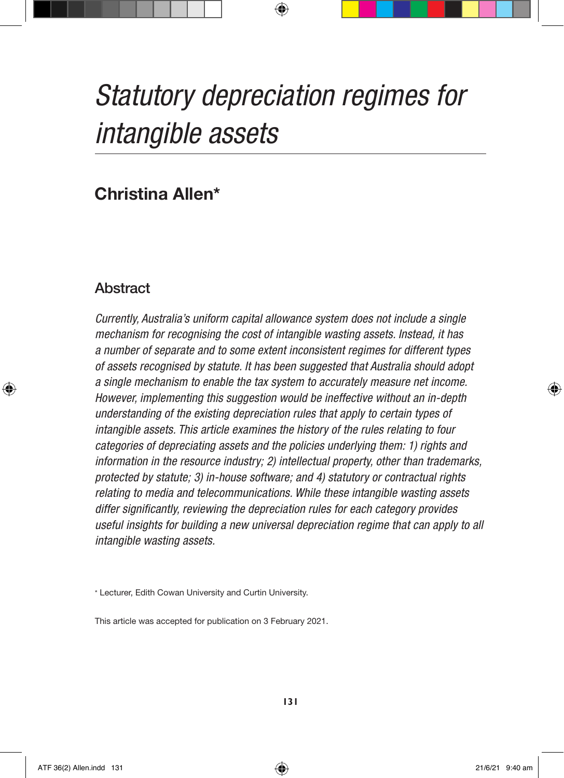# *Statutory depreciation regimes for intangible assets*

 $\bigoplus$ 

# **Christina Allen\***

# Abstract

↔

*Currently, Australia's uniform capital allowance system does not include a single mechanism for recognising the cost of intangible wasting assets. Instead, it has a number of separate and to some extent inconsistent regimes for different types of assets recognised by statute. It has been suggested that Australia should adopt a single mechanism to enable the tax system to accurately measure net income. However, implementing this suggestion would be ineffective without an in-depth understanding of the existing depreciation rules that apply to certain types of intangible assets. This article examines the history of the rules relating to four categories of depreciating assets and the policies underlying them: 1) rights and information in the resource industry; 2) intellectual property, other than trademarks, protected by statute; 3) in-house software; and 4) statutory or contractual rights relating to media and telecommunications. While these intangible wasting assets differ significantly, reviewing the depreciation rules for each category provides useful insights for building a new universal depreciation regime that can apply to all intangible wasting assets.*

\* Lecturer, Edith Cowan University and Curtin University.

This article was accepted for publication on 3 February 2021.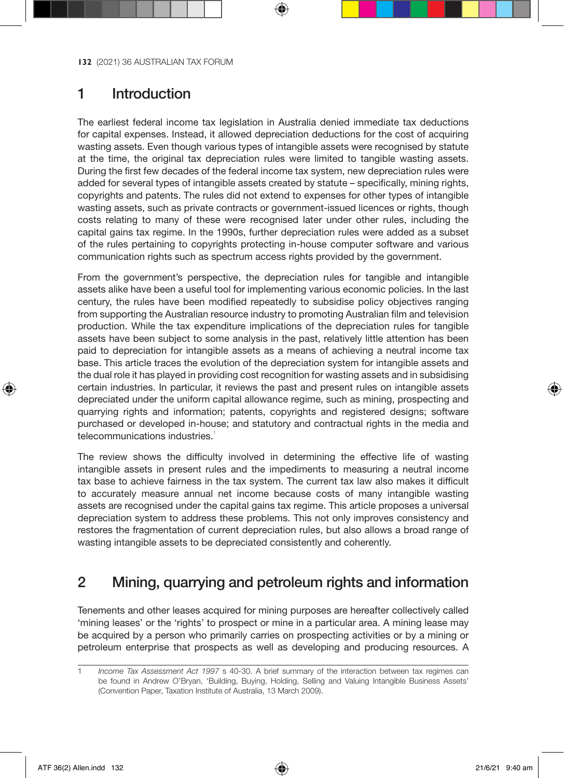# 1 Introduction

The earliest federal income tax legislation in Australia denied immediate tax deductions for capital expenses. Instead, it allowed depreciation deductions for the cost of acquiring wasting assets. Even though various types of intangible assets were recognised by statute at the time, the original tax depreciation rules were limited to tangible wasting assets. During the first few decades of the federal income tax system, new depreciation rules were added for several types of intangible assets created by statute – specifically, mining rights, copyrights and patents. The rules did not extend to expenses for other types of intangible wasting assets, such as private contracts or government-issued licences or rights, though costs relating to many of these were recognised later under other rules, including the capital gains tax regime. In the 1990s, further depreciation rules were added as a subset of the rules pertaining to copyrights protecting in-house computer software and various communication rights such as spectrum access rights provided by the government.

From the government's perspective, the depreciation rules for tangible and intangible assets alike have been a useful tool for implementing various economic policies. In the last century, the rules have been modified repeatedly to subsidise policy objectives ranging from supporting the Australian resource industry to promoting Australian film and television production. While the tax expenditure implications of the depreciation rules for tangible assets have been subject to some analysis in the past, relatively little attention has been paid to depreciation for intangible assets as a means of achieving a neutral income tax base. This article traces the evolution of the depreciation system for intangible assets and the dual role it has played in providing cost recognition for wasting assets and in subsidising certain industries. In particular, it reviews the past and present rules on intangible assets depreciated under the uniform capital allowance regime, such as mining, prospecting and quarrying rights and information; patents, copyrights and registered designs; software purchased or developed in-house; and statutory and contractual rights in the media and telecommunications industries.<sup>1</sup>

The review shows the difficulty involved in determining the effective life of wasting intangible assets in present rules and the impediments to measuring a neutral income tax base to achieve fairness in the tax system. The current tax law also makes it difficult to accurately measure annual net income because costs of many intangible wasting assets are recognised under the capital gains tax regime. This article proposes a universal depreciation system to address these problems. This not only improves consistency and restores the fragmentation of current depreciation rules, but also allows a broad range of wasting intangible assets to be depreciated consistently and coherently.

# 2 Mining, quarrying and petroleum rights and information

Tenements and other leases acquired for mining purposes are hereafter collectively called 'mining leases' or the 'rights' to prospect or mine in a particular area. A mining lease may be acquired by a person who primarily carries on prospecting activities or by a mining or petroleum enterprise that prospects as well as developing and producing resources. A

↔

<sup>1</sup> *Income Tax Assessment Act 1997* s 40-30. A brief summary of the interaction between tax regimes can be found in Andrew O'Bryan, 'Building, Buying, Holding, Selling and Valuing Intangible Business Assets' (Convention Paper, Taxation Institute of Australia, 13 March 2009).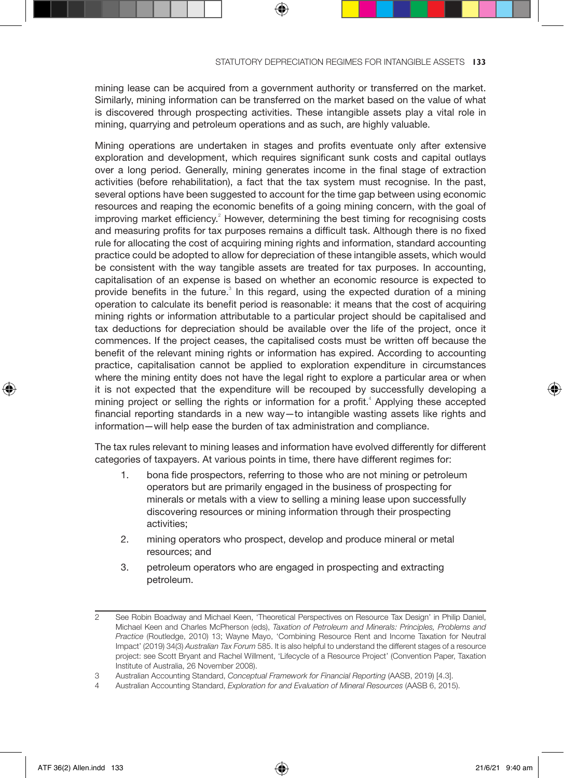mining lease can be acquired from a government authority or transferred on the market. Similarly, mining information can be transferred on the market based on the value of what is discovered through prospecting activities. These intangible assets play a vital role in mining, quarrying and petroleum operations and as such, are highly valuable.

Mining operations are undertaken in stages and profits eventuate only after extensive exploration and development, which requires significant sunk costs and capital outlays over a long period. Generally, mining generates income in the final stage of extraction activities (before rehabilitation), a fact that the tax system must recognise. In the past, several options have been suggested to account for the time gap between using economic resources and reaping the economic benefits of a going mining concern, with the goal of improving market efficiency.<sup>2</sup> However, determining the best timing for recognising costs and measuring profits for tax purposes remains a difficult task. Although there is no fixed rule for allocating the cost of acquiring mining rights and information, standard accounting practice could be adopted to allow for depreciation of these intangible assets, which would be consistent with the way tangible assets are treated for tax purposes. In accounting, capitalisation of an expense is based on whether an economic resource is expected to provide benefits in the future.<sup>3</sup> In this regard, using the expected duration of a mining operation to calculate its benefit period is reasonable: it means that the cost of acquiring mining rights or information attributable to a particular project should be capitalised and tax deductions for depreciation should be available over the life of the project, once it commences. If the project ceases, the capitalised costs must be written off because the benefit of the relevant mining rights or information has expired. According to accounting practice, capitalisation cannot be applied to exploration expenditure in circumstances where the mining entity does not have the legal right to explore a particular area or when it is not expected that the expenditure will be recouped by successfully developing a mining project or selling the rights or information for a profit.<sup>4</sup> Applying these accepted financial reporting standards in a new way—to intangible wasting assets like rights and information—will help ease the burden of tax administration and compliance.

The tax rules relevant to mining leases and information have evolved differently for different categories of taxpayers. At various points in time, there have different regimes for:

- 1. bona fide prospectors, referring to those who are not mining or petroleum operators but are primarily engaged in the business of prospecting for minerals or metals with a view to selling a mining lease upon successfully discovering resources or mining information through their prospecting activities;
- 2. mining operators who prospect, develop and produce mineral or metal resources; and
- 3. petroleum operators who are engaged in prospecting and extracting petroleum.

<sup>2</sup> See Robin Boadway and Michael Keen, 'Theoretical Perspectives on Resource Tax Design' in Philip Daniel, Michael Keen and Charles McPherson (eds), *Taxation of Petroleum and Minerals: Principles, Problems and Practice* (Routledge, 2010) 13; Wayne Mayo, 'Combining Resource Rent and Income Taxation for Neutral Impact' (2019) 34(3) *Australian Tax Forum* 585. It is also helpful to understand the different stages of a resource project: see Scott Bryant and Rachel Willment, 'Lifecycle of a Resource Project' (Convention Paper, Taxation Institute of Australia, 26 November 2008).

<sup>3</sup> Australian Accounting Standard, *Conceptual Framework for Financial Reporting* (AASB, 2019) [4.3].

<sup>4</sup> Australian Accounting Standard, *Exploration for and Evaluation of Mineral Resources* (AASB 6, 2015).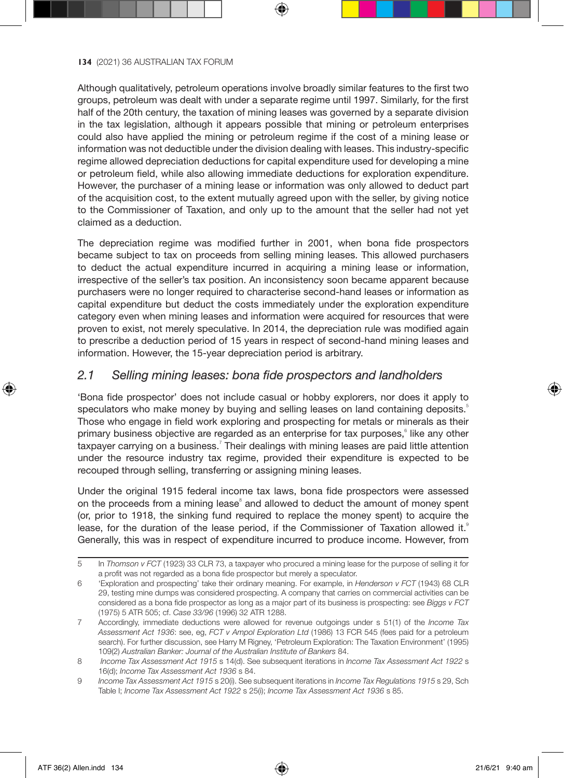Although qualitatively, petroleum operations involve broadly similar features to the first two groups, petroleum was dealt with under a separate regime until 1997. Similarly, for the first half of the 20th century, the taxation of mining leases was governed by a separate division in the tax legislation, although it appears possible that mining or petroleum enterprises could also have applied the mining or petroleum regime if the cost of a mining lease or information was not deductible under the division dealing with leases. This industry-specific regime allowed depreciation deductions for capital expenditure used for developing a mine or petroleum field, while also allowing immediate deductions for exploration expenditure. However, the purchaser of a mining lease or information was only allowed to deduct part of the acquisition cost, to the extent mutually agreed upon with the seller, by giving notice to the Commissioner of Taxation, and only up to the amount that the seller had not yet claimed as a deduction.

The depreciation regime was modified further in 2001, when bona fide prospectors became subject to tax on proceeds from selling mining leases. This allowed purchasers to deduct the actual expenditure incurred in acquiring a mining lease or information, irrespective of the seller's tax position. An inconsistency soon became apparent because purchasers were no longer required to characterise second-hand leases or information as capital expenditure but deduct the costs immediately under the exploration expenditure category even when mining leases and information were acquired for resources that were proven to exist, not merely speculative. In 2014, the depreciation rule was modified again to prescribe a deduction period of 15 years in respect of second-hand mining leases and information. However, the 15-year depreciation period is arbitrary.

## *2.1 Selling mining leases: bona fide prospectors and landholders*

'Bona fide prospector' does not include casual or hobby explorers, nor does it apply to speculators who make money by buying and selling leases on land containing deposits.<sup>5</sup> Those who engage in field work exploring and prospecting for metals or minerals as their primary business objective are regarded as an enterprise for tax purposes, Iike any other taxpayer carrying on a business.<sup>7</sup> Their dealings with mining leases are paid little attention under the resource industry tax regime, provided their expenditure is expected to be recouped through selling, transferring or assigning mining leases.

Under the original 1915 federal income tax laws, bona fide prospectors were assessed on the proceeds from a mining lease<sup>8</sup> and allowed to deduct the amount of money spent (or, prior to 1918, the sinking fund required to replace the money spent) to acquire the lease, for the duration of the lease period, if the Commissioner of Taxation allowed it.<sup>9</sup> Generally, this was in respect of expenditure incurred to produce income. However, from

⊕

<sup>5</sup> In *Thomson v FCT* (1923) 33 CLR 73, a taxpayer who procured a mining lease for the purpose of selling it for a profit was not regarded as a bona fide prospector but merely a speculator.

<sup>6</sup> 'Exploration and prospecting' take their ordinary meaning. For example, in *Henderson v FCT* (1943) 68 CLR 29, testing mine dumps was considered prospecting. A company that carries on commercial activities can be considered as a bona fide prospector as long as a major part of its business is prospecting: see *Biggs v FCT* (1975) 5 ATR 505; cf. *Case 33/96* (1996) 32 ATR 1288.

<sup>7</sup> Accordingly, immediate deductions were allowed for revenue outgoings under s 51(1) of the *Income Tax Assessment Act 1936*: see, eg, *FCT v Ampol Exploration Ltd* (1986) 13 FCR 545 (fees paid for a petroleum search). For further discussion, see Harry M Rigney, 'Petroleum Exploration: The Taxation Environment' (1995) 109(2) *Australian Banker: Journal of the Australian Institute of Bankers* 84.

<sup>8</sup> *Income Tax Assessment Act 1915* s 14(d). See subsequent iterations in *Income Tax Assessment Act 1922* s 16(d); *Income Tax Assessment Act 1936* s 84.

<sup>9</sup> *Income Tax Assessment Act 1915* s 20(i). See subsequent iterations in *Income Tax Regulations 1915* s 29, Sch Table I; *Income Tax Assessment Act 1922* s 25(i); *Income Tax Assessment Act 1936* s 85.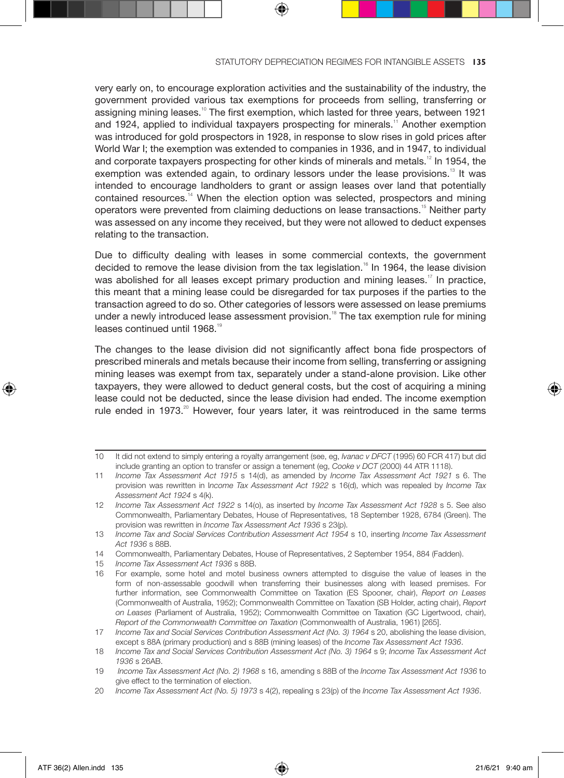very early on, to encourage exploration activities and the sustainability of the industry, the government provided various tax exemptions for proceeds from selling, transferring or assigning mining leases.<sup>10</sup> The first exemption, which lasted for three years, between 1921 and 1924, applied to individual taxpayers prospecting for minerals.<sup>11</sup> Another exemption was introduced for gold prospectors in 1928, in response to slow rises in gold prices after World War I; the exemption was extended to companies in 1936, and in 1947, to individual and corporate taxpayers prospecting for other kinds of minerals and metals.<sup>12</sup> In 1954, the exemption was extended again, to ordinary lessors under the lease provisions.<sup>13</sup> It was intended to encourage landholders to grant or assign leases over land that potentially contained resources.<sup>14</sup> When the election option was selected, prospectors and mining operators were prevented from claiming deductions on lease transactions.<sup>15</sup> Neither party was assessed on any income they received, but they were not allowed to deduct expenses relating to the transaction.

Due to difficulty dealing with leases in some commercial contexts, the government decided to remove the lease division from the tax legislation.<sup>16</sup> In 1964, the lease division was abolished for all leases except primary production and mining leases.<sup>17</sup> In practice, this meant that a mining lease could be disregarded for tax purposes if the parties to the transaction agreed to do so. Other categories of lessors were assessed on lease premiums under a newly introduced lease assessment provision.<sup>18</sup> The tax exemption rule for mining leases continued until 1968.<sup>19</sup>

The changes to the lease division did not significantly affect bona fide prospectors of prescribed minerals and metals because their income from selling, transferring or assigning mining leases was exempt from tax, separately under a stand-alone provision. Like other taxpayers, they were allowed to deduct general costs, but the cost of acquiring a mining lease could not be deducted, since the lease division had ended. The income exemption rule ended in 1973.<sup>20</sup> However, four years later, it was reintroduced in the same terms

⊕

<sup>10</sup> It did not extend to simply entering a royalty arrangement (see, eg, *Ivanac v DFCT* (1995) 60 FCR 417) but did include granting an option to transfer or assign a tenement (eg, *Cooke v DCT* (2000) 44 ATR 1118).

<sup>11</sup> *Income Tax Assessment Act 1915* s 14(d), as amended by *Income Tax Assessment Act 1921* s 6. The provision was rewritten in I*ncome Tax Assessment Act 1922* s 16(d), which was repealed by *Income Tax Assessment Act 1924* s 4(k).

<sup>12</sup> *Income Tax Assessment Act 1922* s 14(o), as inserted by *Income Tax Assessment Act 1928* s 5. See also Commonwealth, Parliamentary Debates, House of Representatives, 18 September 1928, 6784 (Green). The provision was rewritten in *Income Tax Assessment Act 1936* s 23(p).

<sup>13</sup> *Income Tax and Social Services Contribution Assessment Act 1954* s 10, inserting *Income Tax Assessment Act 1936* s 88B.

<sup>14</sup> Commonwealth, Parliamentary Debates, House of Representatives, 2 September 1954, 884 (Fadden).

<sup>15</sup> *Income Tax Assessment Act 1936* s 88B.

<sup>16</sup> For example, some hotel and motel business owners attempted to disguise the value of leases in the form of non-assessable goodwill when transferring their businesses along with leased premises. For further information, see Commonwealth Committee on Taxation (ES Spooner, chair), *Report on Leases* (Commonwealth of Australia, 1952); Commonwealth Committee on Taxation (SB Holder, acting chair), *Report on Leases* (Parliament of Australia, 1952); Commonwealth Committee on Taxation (GC Ligertwood, chair), *Report of the Commonwealth Committee on Taxation* (Commonwealth of Australia, 1961) [265].

<sup>17</sup> *Income Tax and Social Services Contribution Assessment Act (No. 3) 1964* s 20, abolishing the lease division, except s 88A (primary production) and s 88B (mining leases) of the *Income Tax Assessment Act 1936*.

<sup>18</sup> *Income Tax and Social Services Contribution Assessment Act (No. 3) 1964* s 9; *Income Tax Assessment Act 1936* s 26AB.

<sup>19</sup> *Income Tax Assessment Act (No. 2) 1968* s 16, amending s 88B of the *Income Tax Assessment Act 1936* to give effect to the termination of election.

<sup>20</sup> *Income Tax Assessment Act (No. 5) 1973* s 4(2), repealing s 23(p) of the *Income Tax Assessment Act 1936*.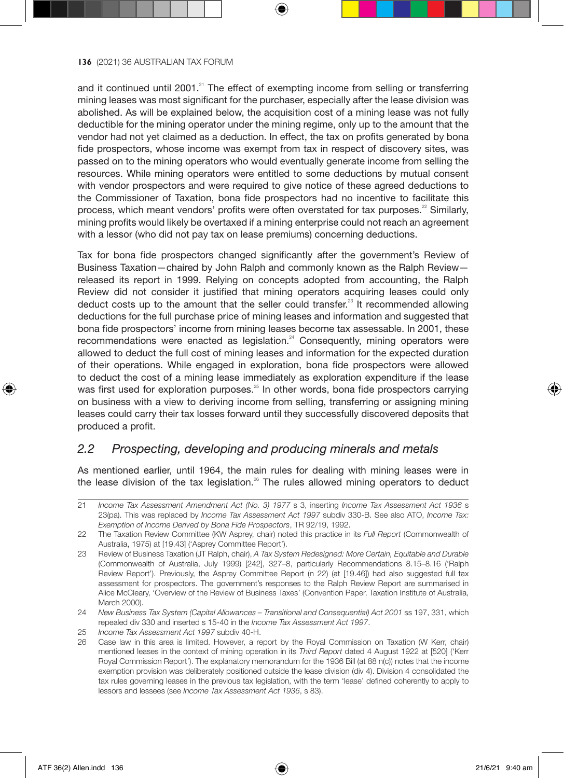and it continued until 2001.<sup>21</sup> The effect of exempting income from selling or transferring mining leases was most significant for the purchaser, especially after the lease division was abolished. As will be explained below, the acquisition cost of a mining lease was not fully deductible for the mining operator under the mining regime, only up to the amount that the vendor had not yet claimed as a deduction. In effect, the tax on profits generated by bona fide prospectors, whose income was exempt from tax in respect of discovery sites, was passed on to the mining operators who would eventually generate income from selling the resources. While mining operators were entitled to some deductions by mutual consent with vendor prospectors and were required to give notice of these agreed deductions to the Commissioner of Taxation, bona fide prospectors had no incentive to facilitate this process, which meant vendors' profits were often overstated for tax purposes.<sup>22</sup> Similarly, mining profits would likely be overtaxed if a mining enterprise could not reach an agreement with a lessor (who did not pay tax on lease premiums) concerning deductions.

Tax for bona fide prospectors changed significantly after the government's Review of Business Taxation—chaired by John Ralph and commonly known as the Ralph Review released its report in 1999. Relying on concepts adopted from accounting, the Ralph Review did not consider it justified that mining operators acquiring leases could only deduct costs up to the amount that the seller could transfer.<sup>23</sup> It recommended allowing deductions for the full purchase price of mining leases and information and suggested that bona fide prospectors' income from mining leases become tax assessable. In 2001, these recommendations were enacted as legislation.<sup>24</sup> Consequently, mining operators were allowed to deduct the full cost of mining leases and information for the expected duration of their operations. While engaged in exploration, bona fide prospectors were allowed to deduct the cost of a mining lease immediately as exploration expenditure if the lease was first used for exploration purposes.<sup>25</sup> In other words, bona fide prospectors carrying on business with a view to deriving income from selling, transferring or assigning mining leases could carry their tax losses forward until they successfully discovered deposits that produced a profit.

## *2.2 Prospecting, developing and producing minerals and metals*

As mentioned earlier, until 1964, the main rules for dealing with mining leases were in the lease division of the tax legislation. $26$  The rules allowed mining operators to deduct

⊕

<sup>21</sup> *Income Tax Assessment Amendment Act (No. 3) 1977* s 3, inserting *Income Tax Assessment Act 1936* s 23(pa). This was replaced by *Income Tax Assessment Act 1997* subdiv 330-B. See also ATO, *Income Tax: Exemption of Income Derived by Bona Fide Prospectors*, TR 92/19, 1992.

<sup>22</sup> The Taxation Review Committee (KW Asprey, chair) noted this practice in its *Full Report* (Commonwealth of Australia, 1975) at [19.43] ('Asprey Committee Report').

<sup>23</sup> Review of Business Taxation (JT Ralph, chair), *A Tax System Redesigned: More Certain, Equitable and Durable* (Commonwealth of Australia, July 1999) [242], 327–8, particularly Recommendations 8.15–8.16 ('Ralph Review Report'). Previously, the Asprey Committee Report (n 22) (at [19.46]) had also suggested full tax assessment for prospectors. The government's responses to the Ralph Review Report are summarised in Alice McCleary, 'Overview of the Review of Business Taxes' (Convention Paper, Taxation Institute of Australia, March 2000).

<sup>24</sup> *New Business Tax System (Capital Allowances – Transitional and Consequential) Act 2001* ss 197, 331, which repealed div 330 and inserted s 15-40 in the *Income Tax Assessment Act 1997*.

<sup>25</sup> *Income Tax Assessment Act 1997* subdiv 40-H.

<sup>26</sup> Case law in this area is limited. However, a report by the Royal Commission on Taxation (W Kerr, chair) mentioned leases in the context of mining operation in its *Third Report* dated 4 August 1922 at [520] ('Kerr Royal Commission Report'). The explanatory memorandum for the 1936 Bill (at 88 n(c)) notes that the income exemption provision was deliberately positioned outside the lease division (div 4). Division 4 consolidated the tax rules governing leases in the previous tax legislation, with the term 'lease' defined coherently to apply to lessors and lessees (see *Income Tax Assessment Act 1936*, s 83).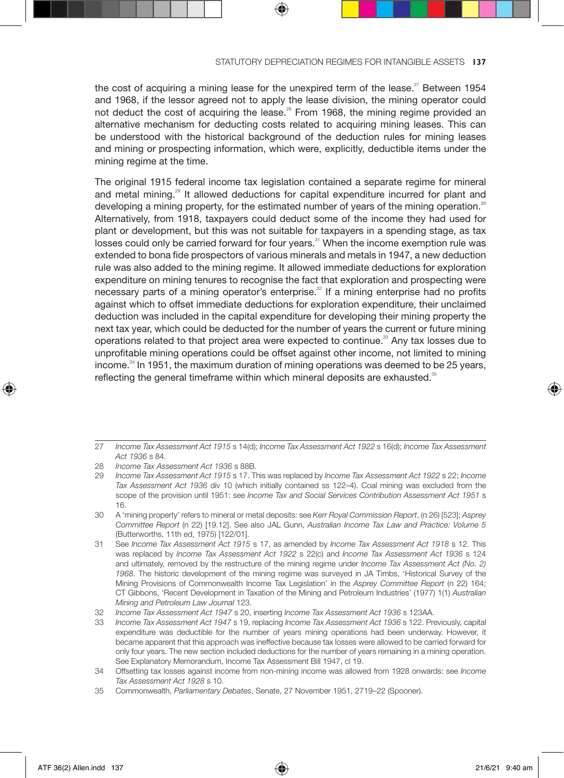the cost of acquiring a mining lease for the unexpired term of the lease.<sup>27</sup> Between 1954 and 1968, if the lessor agreed not to apply the lease division, the mining operator could not deduct the cost of acquiring the lease.<sup>28</sup> From 1968, the mining regime provided an alternative mechanism for deducting costs related to acquiring mining leases. This can be understood with the historical background of the deduction rules for mining leases and mining or prospecting information, which were, explicitly, deductible items under the mining regime at the time.

The original 1915 federal income tax legislation contained a separate regime for mineral and metal mining.<sup>29</sup> It allowed deductions for capital expenditure incurred for plant and developing a mining property, for the estimated number of years of the mining operation.<sup>30</sup> Alternatively, from 1918, taxpayers could deduct some of the income they had used for plant or development, but this was not suitable for taxpayers in a spending stage, as tax losses could only be carried forward for four years.<sup>31</sup> When the income exemption rule was extended to bona fide prospectors of various minerals and metals in 1947, a new deduction rule was also added to the mining regime. It allowed immediate deductions for exploration expenditure on mining tenures to recognise the fact that exploration and prospecting were necessary parts of a mining operator's enterprise.<sup>32</sup> If a mining enterprise had no profits against which to offset immediate deductions for exploration expenditure, their unclaimed deduction was included in the capital expenditure for developing their mining property the next tax year, which could be deducted for the number of years the current or future mining operations related to that project area were expected to continue.<sup>33</sup> Any tax losses due to unprofitable mining operations could be offset against other income, not limited to mining income. $34$  In 1951, the maximum duration of mining operations was deemed to be 25 years. reflecting the general timeframe within which mineral deposits are exhausted.<sup>35</sup>

⊕

<sup>27</sup> *Income Tax Assessment Act 1915* s 14(d); *Income Tax Assessment Act 1922* s 16(d); *Income Tax Assessment Act 1936* s 84.

<sup>28</sup> *Income Tax Assessment Act 1936* s 88B.

<sup>29</sup> *Income Tax Assessment Act 1915* s 17. This was replaced by *Income Tax Assessment Act 1922* s 22; *Income Tax Assessment Act 1936* div 10 (which initially contained ss 122–4). Coal mining was excluded from the scope of the provision until 1951: see *Income Tax and Social Services Contribution Assessment Act 1951* s 16.

<sup>30</sup> A 'mining property' refers to mineral or metal deposits: see *Kerr Royal Commission Report*, (n 26) [523]; *Asprey Committee Report* (n 22) [19.12]. See also JAL Gunn, *Australian Income Tax Law and Practice: Volume 5* (Butterworths, 11th ed, 1975) [122/01].

<sup>31</sup> See *Income Tax Assessment Act 1915* s 17, as amended by *Income Tax Assessment Act 1918* s 12. This was replaced by *Income Tax Assessment Act 1922* s 22(c) and *Income Tax Assessment Act 1936* s 124 and ultimately, removed by the restructure of the mining regime under *Income Tax Assessment Act (No. 2) 1968*. The historic development of the mining regime was surveyed in JA Timbs, 'Historical Survey of the Mining Provisions of Commonwealth Income Tax Legislation' in the *Asprey Committee Report* (n 22) 164; CT Gibbons, 'Recent Development in Taxation of the Mining and Petroleum Industries' (1977) 1(1) *Australian Mining and Petroleum Law Journal* 123.

<sup>32</sup> *Income Tax Assessment Act 1947* s 20, inserting *Income Tax Assessment Act 1936* s 123AA.

<sup>33</sup> *Income Tax Assessment Act 1947* s 19, replacing *Income Tax Assessment Act 1936* s 122. Previously, capital expenditure was deductible for the number of years mining operations had been underway. However, it became apparent that this approach was ineffective because tax losses were allowed to be carried forward for only four years. The new section included deductions for the number of years remaining in a mining operation. See Explanatory Memorandum, Income Tax Assessment Bill 1947, cl 19.

<sup>34</sup> Offsetting tax losses against income from non-mining income was allowed from 1928 onwards: see *Income Tax Assessment Act 1928* s 10.

<sup>35</sup> Commonwealth, *Parliamentary Debates*, Senate, 27 November 1951, 2719–22 (Spooner).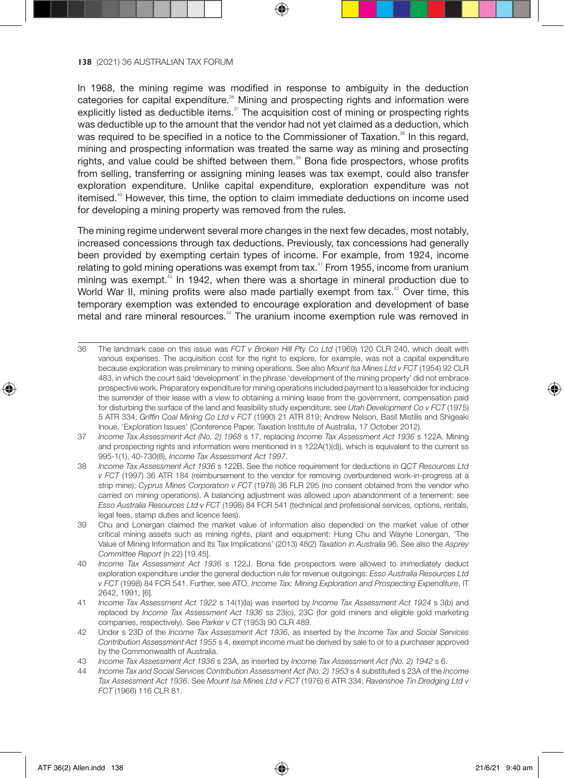In 1968, the mining regime was modified in response to ambiguity in the deduction categories for capital expenditure.<sup>36</sup> Mining and prospecting rights and information were explicitly listed as deductible items. $37$  The acquisition cost of mining or prospecting rights was deductible up to the amount that the vendor had not yet claimed as a deduction, which was required to be specified in a notice to the Commissioner of Taxation.<sup>38</sup> In this regard, mining and prospecting information was treated the same way as mining and prosecting rights, and value could be shifted between them.<sup>39</sup> Bona fide prospectors, whose profits from selling, transferring or assigning mining leases was tax exempt, could also transfer exploration expenditure. Unlike capital expenditure, exploration expenditure was not itemised.<sup>40</sup> However, this time, the option to claim immediate deductions on income used for developing a mining property was removed from the rules.

The mining regime underwent several more changes in the next few decades, most notably, increased concessions through tax deductions. Previously, tax concessions had generally been provided by exempting certain types of income. For example, from 1924, income relating to gold mining operations was exempt from tax.<sup>41</sup> From 1955, income from uranium mining was exempt.<sup>42</sup> In 1942, when there was a shortage in mineral production due to World War II, mining profits were also made partially exempt from tax.<sup>43</sup> Over time, this temporary exemption was extended to encourage exploration and development of base metal and rare mineral resources.<sup>44</sup> The uranium income exemption rule was removed in

- 36 The landmark case on this issue was *FCT v Broken Hill Pty Co Ltd* (1969) 120 CLR 240, which dealt with various expenses. The acquisition cost for the right to explore, for example, was not a capital expenditure because exploration was preliminary to mining operations. See also *Mount Isa Mines Ltd v FCT* (1954) 92 CLR 483, in which the court said 'development' in the phrase 'development of the mining property' did not embrace prospective work. Preparatory expenditure for mining operations included payment to a leaseholder for inducing the surrender of their lease with a view to obtaining a mining lease from the government, compensation paid for disturbing the surface of the land and feasibility study expenditure: see *Utah Development Co v FCT* (1975) 5 ATR 334; *Griffin Coal Mining Co Ltd v FCT* (1990) 21 ATR 819; Andrew Nelson, Basil Mistilis and Shigeaki Inoue, 'Exploration Issues' (Conference Paper, Taxation Institute of Australia, 17 October 2012).
- 37 *Income Tax Assessment Act (No. 2) 1968* s 17, replacing *Income Tax Assessment Act 1936* s 122A. Mining and prospecting rights and information were mentioned in s 122A(1)(d)), which is equivalent to the current ss 995-1(1), 40-730(8), *Income Tax Assessment Act 1997*.
- 38 *Income Tax Assessment Act 1936* s 122B. See the notice requirement for deductions in *QCT Resources Ltd v FCT* (1997) 36 ATR 184 (reimbursement to the vendor for removing overburdened work-in-progress at a strip mine); *Cyprus Mines Corporation v FCT* (1978) 36 FLR 295 (no consent obtained from the vendor who carried on mining operations). A balancing adjustment was allowed upon abandonment of a tenement: see *Esso Australia Resources Ltd v FCT* (1998) 84 FCR 541 (technical and professional services, options, rentals, legal fees, stamp duties and licence fees).
- 39 Chu and Lonergan claimed the market value of information also depended on the market value of other critical mining assets such as mining rights, plant and equipment: Hung Chu and Wayne Lonergan, 'The Value of Mining Information and Its Tax Implications' (2013) 48(2) *Taxation in Australia* 96. See also the *Asprey Committee Report* (n 22) [19.45].
- 40 *Income Tax Assessment Act 1936* s 122J. Bona fide prospectors were allowed to immediately deduct exploration expenditure under the general deduction rule for revenue outgoings: *Esso Australia Resources Ltd v FCT* (1998) 84 FCR 541. Further, see ATO, *Income Tax: Mining Exploration and Prospecting Expenditure*, IT 2642, 1991, [6].
- 41 *Income Tax Assessment Act 1922* s 14(1)(la) was inserted by *Income Tax Assessment Act 1924* s 3(b) and replaced by *Income Tax Assessment Act 1936* ss 23(o), 23C (for gold miners and eligible gold marketing companies, respectively). See *Parker v CT* (1953) 90 CLR 489.
- 42 Under s 23D of the *Income Tax Assessment Act 1936*, as inserted by the *Income Tax and Social Services Contribution Assessment Act 1955* s 4, exempt income must be derived by sale to or to a purchaser approved by the Commonwealth of Australia.
- 43 *Income Tax Assessment Act 1936* s 23A, as inserted by *Income Tax Assessment Act (No. 2) 1942* s 6.
- 44 *Income Tax and Social Services Contribution Assessment Act (No. 2) 1953* s 4 substituted s 23A of the *Income Tax Assessment Act 1936*. See *Mount Isa Mines Ltd v FCT* (1976) 6 ATR 334; *Ravenshoe Tin Dredging Ltd v FCT* (1966) 116 CLR 81.

⊕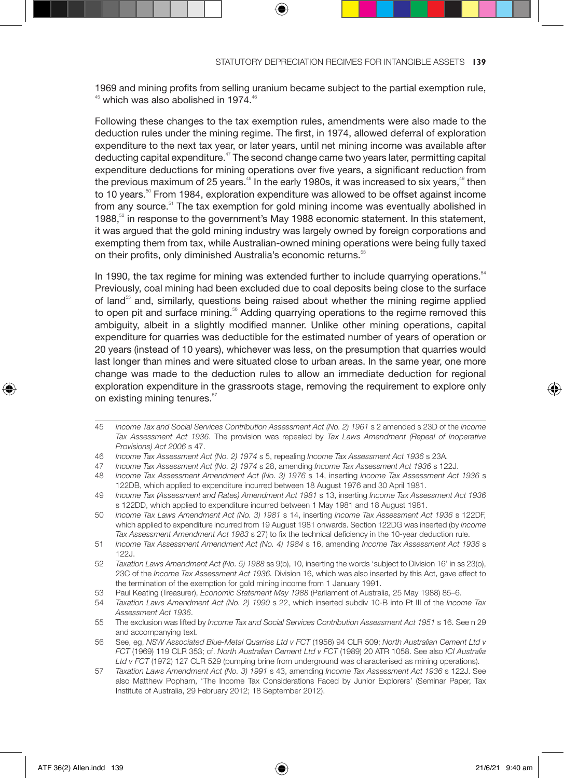1969 and mining profits from selling uranium became subject to the partial exemption rule,  $45$  which was also abolished in 1974. $46$ 

Following these changes to the tax exemption rules, amendments were also made to the deduction rules under the mining regime. The first, in 1974, allowed deferral of exploration expenditure to the next tax year, or later years, until net mining income was available after deducting capital expenditure.<sup>47</sup> The second change came two years later, permitting capital expenditure deductions for mining operations over five years, a significant reduction from the previous maximum of 25 years. $48$  In the early 1980s, it was increased to six years, $49$  then to 10 years.<sup>50</sup> From 1984, exploration expenditure was allowed to be offset against income from any source.<sup>51</sup> The tax exemption for gold mining income was eventually abolished in 1988, $52$  in response to the government's May 1988 economic statement. In this statement, it was argued that the gold mining industry was largely owned by foreign corporations and exempting them from tax, while Australian-owned mining operations were being fully taxed on their profits, only diminished Australia's economic returns.<sup>53</sup>

In 1990, the tax regime for mining was extended further to include quarrying operations. $54$ Previously, coal mining had been excluded due to coal deposits being close to the surface of land<sup>55</sup> and, similarly, questions being raised about whether the mining regime applied to open pit and surface mining.<sup>56</sup> Adding quarrying operations to the regime removed this ambiguity, albeit in a slightly modified manner. Unlike other mining operations, capital expenditure for quarries was deductible for the estimated number of years of operation or 20 years (instead of 10 years), whichever was less, on the presumption that quarries would last longer than mines and were situated close to urban areas. In the same year, one more change was made to the deduction rules to allow an immediate deduction for regional exploration expenditure in the grassroots stage, removing the requirement to explore only on existing mining tenures.<sup>57</sup>

- 47 *Income Tax Assessment Act (No. 2) 1974* s 28, amending *Income Tax Assessment Act 1936* s 122J.
- 48 *Income Tax Assessment Amendment Act (No. 3) 1976* s 14, inserting *Income Tax Assessment Act 1936* s 122DB, which applied to expenditure incurred between 18 August 1976 and 30 April 1981.
- 49 *Income Tax (Assessment and Rates) Amendment Act 1981* s 13, inserting *Income Tax Assessment Act 1936* s 122DD, which applied to expenditure incurred between 1 May 1981 and 18 August 1981.
- 50 *Income Tax Laws Amendment Act (No. 3) 1981* s 14, inserting *Income Tax Assessment Act 1936* s 122DF, which applied to expenditure incurred from 19 August 1981 onwards. Section 122DG was inserted (by *Income Tax Assessment Amendment Act 1983* s 27) to fix the technical deficiency in the 10-year deduction rule.
- 51 *Income Tax Assessment Amendment Act (No. 4) 1984* s 16, amending *Income Tax Assessment Act 1936* s 122J.
- 52 *Taxation Laws Amendment Act (No. 5) 1988* ss 9(b), 10, inserting the words 'subject to Division 16' in ss 23(o), 23C of the *Income Tax Assessment Act 1936.* Division 16, which was also inserted by this Act, gave effect to the termination of the exemption for gold mining income from 1 January 1991.
- 53 Paul Keating (Treasurer), *Economic Statement May 1988* (Parliament of Australia, 25 May 1988) 85–6.
- 54 *Taxation Laws Amendment Act (No. 2) 1990* s 22, which inserted subdiv 10-B into Pt III of the *Income Tax Assessment Act 1936*.
- 55 The exclusion was lifted by *Income Tax and Social Services Contribution Assessment Act 1951* s 16. See n 29 and accompanying text.
- 56 See, eg, *NSW Associated Blue-Metal Quarries Ltd v FCT* (1956) 94 CLR 509; *North Australian Cement Ltd v FCT* (1969) 119 CLR 353; cf. *North Australian Cement Ltd v FCT* (1989) 20 ATR 1058. See also *ICI Australia Ltd v FCT* (1972) 127 CLR 529 (pumping brine from underground was characterised as mining operations).
- 57 *Taxation Laws Amendment Act (No. 3) 1991* s 43, amending *Income Tax Assessment Act 1936* s 122J. See also Matthew Popham, 'The Income Tax Considerations Faced by Junior Explorers' (Seminar Paper, Tax Institute of Australia, 29 February 2012; 18 September 2012).

⊕

<sup>45</sup> *Income Tax and Social Services Contribution Assessment Act (No. 2) 1961* s 2 amended s 23D of the *Income Tax Assessment Act 1936*. The provision was repealed by *Tax Laws Amendment (Repeal of Inoperative Provisions) Act 2006* s 47.

<sup>46</sup> *Income Tax Assessment Act (No. 2) 1974* s 5, repealing *Income Tax Assessment Act 1936* s 23A.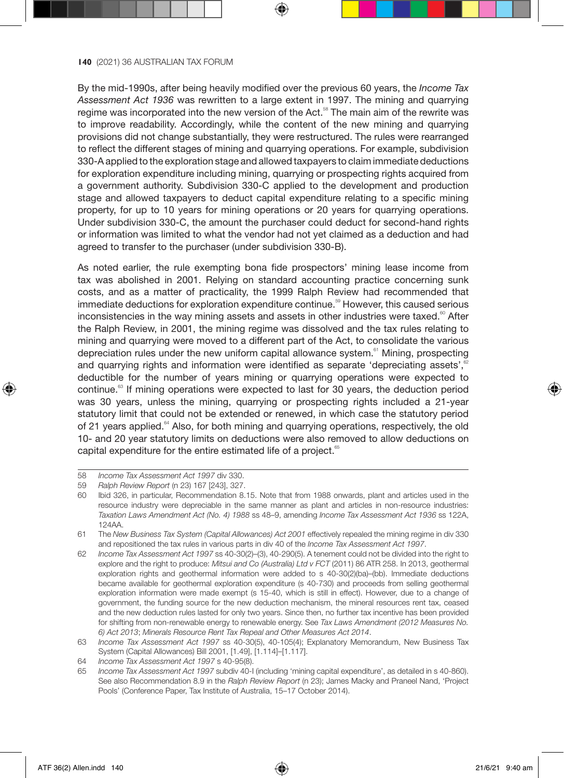By the mid-1990s, after being heavily modified over the previous 60 years, the *Income Tax Assessment Act 1936* was rewritten to a large extent in 1997. The mining and quarrying regime was incorporated into the new version of the Act.<sup>58</sup> The main aim of the rewrite was to improve readability. Accordingly, while the content of the new mining and quarrying provisions did not change substantially, they were restructured. The rules were rearranged to reflect the different stages of mining and quarrying operations. For example, subdivision 330-A applied to the exploration stage and allowed taxpayers to claim immediate deductions for exploration expenditure including mining, quarrying or prospecting rights acquired from a government authority. Subdivision 330-C applied to the development and production stage and allowed taxpayers to deduct capital expenditure relating to a specific mining property, for up to 10 years for mining operations or 20 years for quarrying operations. Under subdivision 330-C, the amount the purchaser could deduct for second-hand rights or information was limited to what the vendor had not yet claimed as a deduction and had agreed to transfer to the purchaser (under subdivision 330-B).

As noted earlier, the rule exempting bona fide prospectors' mining lease income from tax was abolished in 2001. Relying on standard accounting practice concerning sunk costs, and as a matter of practicality, the 1999 Ralph Review had recommended that immediate deductions for exploration expenditure continue.<sup>59</sup> However, this caused serious inconsistencies in the way mining assets and assets in other industries were taxed. $\degree$  After the Ralph Review, in 2001, the mining regime was dissolved and the tax rules relating to mining and quarrying were moved to a different part of the Act, to consolidate the various depreciation rules under the new uniform capital allowance system.<sup>61</sup> Mining, prospecting and quarrying rights and information were identified as separate 'depreciating assets'.<sup>62</sup> deductible for the number of years mining or quarrying operations were expected to continue. $<sup>63</sup>$  If mining operations were expected to last for 30 years, the deduction period</sup> was 30 years, unless the mining, quarrying or prospecting rights included a 21-year statutory limit that could not be extended or renewed, in which case the statutory period of 21 years applied.<sup>64</sup> Also, for both mining and quarrying operations, respectively, the old 10- and 20 year statutory limits on deductions were also removed to allow deductions on capital expenditure for the entire estimated life of a project.<sup>65</sup>

65 *Income Tax Assessment Act 1997* subdiv 40-I (including 'mining capital expenditure', as detailed in s 40-860). See also Recommendation 8.9 in the *Ralph Review Report* (n 23); James Macky and Praneel Nand, 'Project Pools' (Conference Paper, Tax Institute of Australia, 15–17 October 2014).

⊕

<sup>58</sup> *Income Tax Assessment Act 1997* div 330.

<sup>59</sup> *Ralph Review Report* (n 23) 167 [243], 327.

<sup>60</sup> Ibid 326, in particular, Recommendation 8.15. Note that from 1988 onwards, plant and articles used in the resource industry were depreciable in the same manner as plant and articles in non-resource industries: *Taxation Laws Amendment Act (No. 4) 1988* ss 48–9, amending *Income Tax Assessment Act 1936* ss 122A, 124AA.

<sup>61</sup> The *New Business Tax System (Capital Allowances) Act 2001* effectively repealed the mining regime in div 330 and repositioned the tax rules in various parts in div 40 of the *Income Tax Assessment Act 1997*.

<sup>62</sup> *Income Tax Assessment Act 1997* ss 40-30(2)–(3), 40-290(5). A tenement could not be divided into the right to explore and the right to produce: *Mitsui and Co (Australia) Ltd v FCT* (2011) 86 ATR 258. In 2013, geothermal exploration rights and geothermal information were added to s 40-30(2)(ba)–(bb). Immediate deductions became available for geothermal exploration expenditure (s 40-730) and proceeds from selling geothermal exploration information were made exempt (s 15-40, which is still in effect). However, due to a change of government, the funding source for the new deduction mechanism, the mineral resources rent tax, ceased and the new deduction rules lasted for only two years. Since then, no further tax incentive has been provided for shifting from non-renewable energy to renewable energy. See *Tax Laws Amendment (2012 Measures No. 6) Act 2013*; *Minerals Resource Rent Tax Repeal and Other Measures Act 2014*.

<sup>63</sup> *Income Tax Assessment Act 1997* ss 40-30(5), 40-105(4); Explanatory Memorandum, New Business Tax System (Capital Allowances) Bill 2001, [1.49], [1.114]–[1.117].

<sup>64</sup> *Income Tax Assessment Act 1997* s 40-95(8).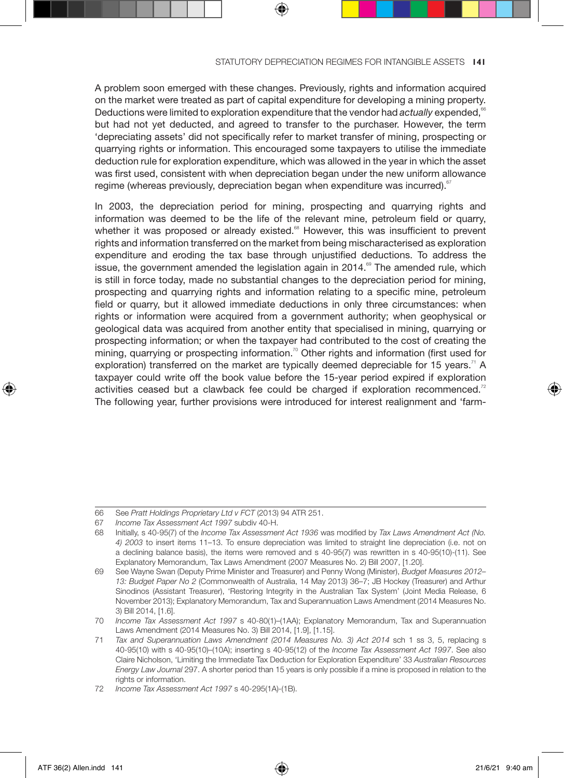A problem soon emerged with these changes. Previously, rights and information acquired on the market were treated as part of capital expenditure for developing a mining property. Deductions were limited to exploration expenditure that the vendor had *actually* expended,<sup>6</sup> but had not yet deducted, and agreed to transfer to the purchaser. However, the term 'depreciating assets' did not specifically refer to market transfer of mining, prospecting or quarrying rights or information. This encouraged some taxpayers to utilise the immediate deduction rule for exploration expenditure, which was allowed in the year in which the asset was first used, consistent with when depreciation began under the new uniform allowance regime (whereas previously, depreciation began when expenditure was incurred).

In 2003, the depreciation period for mining, prospecting and quarrying rights and information was deemed to be the life of the relevant mine, petroleum field or quarry, whether it was proposed or already existed.<sup>68</sup> However, this was insufficient to prevent rights and information transferred on the market from being mischaracterised as exploration expenditure and eroding the tax base through unjustified deductions. To address the issue, the government amended the legislation again in  $2014.^{\circ\circ}$  The amended rule, which is still in force today, made no substantial changes to the depreciation period for mining, prospecting and quarrying rights and information relating to a specific mine, petroleum field or quarry, but it allowed immediate deductions in only three circumstances: when rights or information were acquired from a government authority; when geophysical or geological data was acquired from another entity that specialised in mining, quarrying or prospecting information; or when the taxpayer had contributed to the cost of creating the mining, quarrying or prospecting information.<sup>70</sup> Other rights and information (first used for exploration) transferred on the market are typically deemed depreciable for 15 years.<sup>71</sup> A taxpayer could write off the book value before the 15-year period expired if exploration activities ceased but a clawback fee could be charged if exploration recommenced. $72$ The following year, further provisions were introduced for interest realignment and 'farm-

<sup>66</sup> See *Pratt Holdings Proprietary Ltd v FCT* (2013) 94 ATR 251.

<sup>67</sup> *Income Tax Assessment Act 1997* subdiv 40-H.

<sup>68</sup> Initially, s 40-95(7) of the *Income Tax Assessment Act 1936* was modified by *Tax Laws Amendment Act (No. 4) 2003* to insert items 11–13. To ensure depreciation was limited to straight line depreciation (i.e. not on a declining balance basis), the items were removed and s 40-95(7) was rewritten in s 40-95(10)-(11). See Explanatory Memorandum, Tax Laws Amendment (2007 Measures No. 2) Bill 2007, [1.20].

<sup>69</sup> See Wayne Swan (Deputy Prime Minister and Treasurer) and Penny Wong (Minister), *Budget Measures 2012– 13: Budget Paper No 2* (Commonwealth of Australia, 14 May 2013) 36–7; JB Hockey (Treasurer) and Arthur Sinodinos (Assistant Treasurer), 'Restoring Integrity in the Australian Tax System' (Joint Media Release, 6 November 2013); Explanatory Memorandum, Tax and Superannuation Laws Amendment (2014 Measures No. 3) Bill 2014, [1.6].

<sup>70</sup> *Income Tax Assessment Act 1997* s 40-80(1)–(1AA); Explanatory Memorandum, Tax and Superannuation Laws Amendment (2014 Measures No. 3) Bill 2014, [1.9], [1.15].

<sup>71</sup> *Tax and Superannuation Laws Amendment (2014 Measures No. 3) Act 2014* sch 1 ss 3, 5, replacing s 40-95(10) with s 40-95(10)–(10A); inserting s 40-95(12) of the *Income Tax Assessment Act 1997*. See also Claire Nicholson, 'Limiting the Immediate Tax Deduction for Exploration Expenditure' 33 *Australian Resources Energy Law Journal* 297. A shorter period than 15 years is only possible if a mine is proposed in relation to the rights or information.

<sup>72</sup> *Income Tax Assessment Act 1997* s 40-295(1A)-(1B).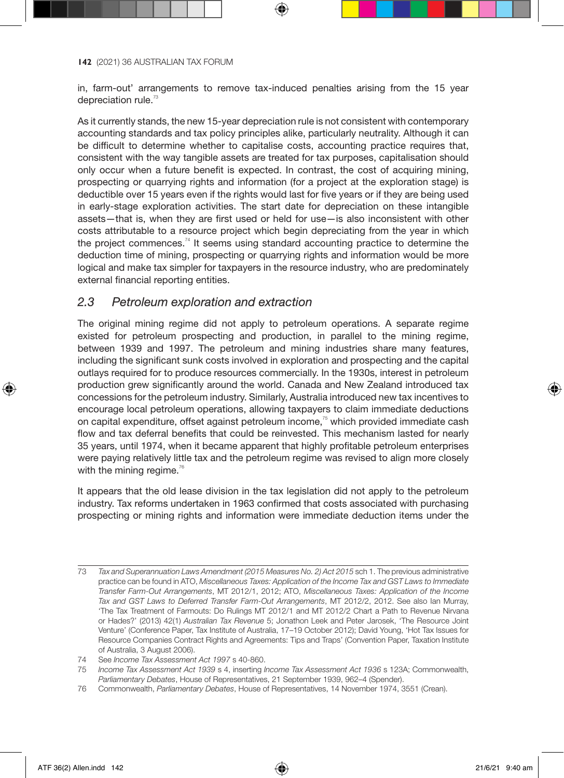in, farm-out' arrangements to remove tax-induced penalties arising from the 15 year depreciation rule. $73$ 

As it currently stands, the new 15-year depreciation rule is not consistent with contemporary accounting standards and tax policy principles alike, particularly neutrality. Although it can be difficult to determine whether to capitalise costs, accounting practice requires that, consistent with the way tangible assets are treated for tax purposes, capitalisation should only occur when a future benefit is expected. In contrast, the cost of acquiring mining, prospecting or quarrying rights and information (for a project at the exploration stage) is deductible over 15 years even if the rights would last for five years or if they are being used in early-stage exploration activities. The start date for depreciation on these intangible assets—that is, when they are first used or held for use—is also inconsistent with other costs attributable to a resource project which begin depreciating from the year in which the project commences.<sup>74</sup> It seems using standard accounting practice to determine the deduction time of mining, prospecting or quarrying rights and information would be more logical and make tax simpler for taxpayers in the resource industry, who are predominately external financial reporting entities.

## *2.3 Petroleum exploration and extraction*

The original mining regime did not apply to petroleum operations. A separate regime existed for petroleum prospecting and production, in parallel to the mining regime, between 1939 and 1997. The petroleum and mining industries share many features, including the significant sunk costs involved in exploration and prospecting and the capital outlays required for to produce resources commercially. In the 1930s, interest in petroleum production grew significantly around the world. Canada and New Zealand introduced tax concessions for the petroleum industry. Similarly, Australia introduced new tax incentives to encourage local petroleum operations, allowing taxpayers to claim immediate deductions on capital expenditure, offset against petroleum income, $7<sup>5</sup>$  which provided immediate cash flow and tax deferral benefits that could be reinvested. This mechanism lasted for nearly 35 years, until 1974, when it became apparent that highly profitable petroleum enterprises were paying relatively little tax and the petroleum regime was revised to align more closely with the mining regime. $76$ 

It appears that the old lease division in the tax legislation did not apply to the petroleum industry. Tax reforms undertaken in 1963 confirmed that costs associated with purchasing prospecting or mining rights and information were immediate deduction items under the

75 *Income Tax Assessment Act 1939* s 4, inserting *Income Tax Assessment Act 1936* s 123A; Commonwealth, *Parliamentary Debates*, House of Representatives, 21 September 1939, 962–4 (Spender).

⊕

<sup>73</sup> *Tax and Superannuation Laws Amendment (2015 Measures No. 2) Act 2015* sch 1. The previous administrative practice can be found in ATO, *Miscellaneous Taxes: Application of the Income Tax and GST Laws to Immediate Transfer Farm-Out Arrangements*, MT 2012/1, 2012; ATO, *Miscellaneous Taxes: Application of the Income Tax and GST Laws to Deferred Transfer Farm-Out Arrangements*, MT 2012/2, 2012. See also Ian Murray, 'The Tax Treatment of Farmouts: Do Rulings MT 2012/1 and MT 2012/2 Chart a Path to Revenue Nirvana or Hades?' (2013) 42(1) *Australian Tax Revenue* 5; Jonathon Leek and Peter Jarosek, 'The Resource Joint Venture' (Conference Paper, Tax Institute of Australia, 17–19 October 2012); David Young, 'Hot Tax Issues for Resource Companies Contract Rights and Agreements: Tips and Traps' (Convention Paper, Taxation Institute of Australia, 3 August 2006).

<sup>74</sup> See *Income Tax Assessment Act 1997* s 40-860.

<sup>76</sup> Commonwealth, *Parliamentary Debates*, House of Representatives, 14 November 1974, 3551 (Crean).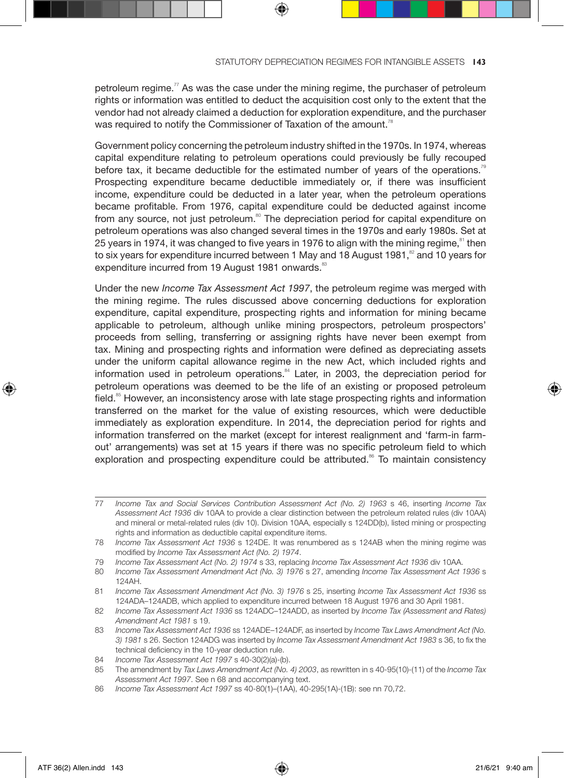petroleum regime. $77$  As was the case under the mining regime, the purchaser of petroleum rights or information was entitled to deduct the acquisition cost only to the extent that the vendor had not already claimed a deduction for exploration expenditure, and the purchaser was required to notify the Commissioner of Taxation of the amount.<sup>78</sup>

Government policy concerning the petroleum industry shifted in the 1970s. In 1974, whereas capital expenditure relating to petroleum operations could previously be fully recouped before tax, it became deductible for the estimated number of years of the operations.<sup>79</sup> Prospecting expenditure became deductible immediately or, if there was insufficient income, expenditure could be deducted in a later year, when the petroleum operations became profitable. From 1976, capital expenditure could be deducted against income from any source, not just petroleum.<sup>80</sup> The depreciation period for capital expenditure on petroleum operations was also changed several times in the 1970s and early 1980s. Set at 25 years in 1974, it was changed to five years in 1976 to align with the mining regime,<sup>81</sup> then to six years for expenditure incurred between 1 May and 18 August 1981, $\frac{82}{1}$  and 10 years for expenditure incurred from 19 August 1981 onwards.<sup>83</sup>

Under the new *Income Tax Assessment Act 1997*, the petroleum regime was merged with the mining regime. The rules discussed above concerning deductions for exploration expenditure, capital expenditure, prospecting rights and information for mining became applicable to petroleum, although unlike mining prospectors, petroleum prospectors' proceeds from selling, transferring or assigning rights have never been exempt from tax. Mining and prospecting rights and information were defined as depreciating assets under the uniform capital allowance regime in the new Act, which included rights and information used in petroleum operations.<sup>84</sup> Later, in 2003, the depreciation period for petroleum operations was deemed to be the life of an existing or proposed petroleum field.<sup>85</sup> However, an inconsistency arose with late stage prospecting rights and information transferred on the market for the value of existing resources, which were deductible immediately as exploration expenditure. In 2014, the depreciation period for rights and information transferred on the market (except for interest realignment and 'farm-in farmout' arrangements) was set at 15 years if there was no specific petroleum field to which exploration and prospecting expenditure could be attributed.<sup>86</sup> To maintain consistency

<sup>77</sup> *Income Tax and Social Services Contribution Assessment Act (No. 2) 1963* s 46, inserting *Income Tax Assessment Act 1936* div 10AA to provide a clear distinction between the petroleum related rules (div 10AA) and mineral or metal-related rules (div 10). Division 10AA, especially s 124DD(b), listed mining or prospecting rights and information as deductible capital expenditure items.

<sup>78</sup> *Income Tax Assessment Act 1936* s 124DE. It was renumbered as s 124AB when the mining regime was modified by *Income Tax Assessment Act (No. 2) 1974*.

<sup>79</sup> *Income Tax Assessment Act (No. 2) 1974* s 33, replacing *Income Tax Assessment Act 1936* div 10AA.

<sup>80</sup> *Income Tax Assessment Amendment Act (No. 3) 1976* s 27, amending *Income Tax Assessment Act 1936* s 124AH.

<sup>81</sup> *Income Tax Assessment Amendment Act (No. 3) 1976* s 25, inserting *Income Tax Assessment Act 1936* ss 124ADA–124ADB, which applied to expenditure incurred between 18 August 1976 and 30 April 1981.

<sup>82</sup> *Income Tax Assessment Act 1936* ss 124ADC–124ADD, as inserted by *Income Tax (Assessment and Rates) Amendment Act 1981* s 19.

<sup>83</sup> *Income Tax Assessment Act 1936* ss 124ADF–124ADE, as inserted by *Income Tax Laws Amendment Act (No. 3) 1981* s 26. Section 124ADG was inserted by *Income Tax Assessment Amendment Act 1983* s 36, to fix the technical deficiency in the 10-year deduction rule.

<sup>84</sup> *Income Tax Assessment Act 1997* s 40-30(2)(a)-(b).

<sup>85</sup> The amendment by *Tax Laws Amendment Act (No. 4) 2003*, as rewritten in s 40-95(10)-(11) of the *Income Tax Assessment Act 1997*. See n 68 and accompanying text.

<sup>86</sup> *Income Tax Assessment Act 1997* ss 40-80(1)–(1AA), 40-295(1A)-(1B): see nn 70,72.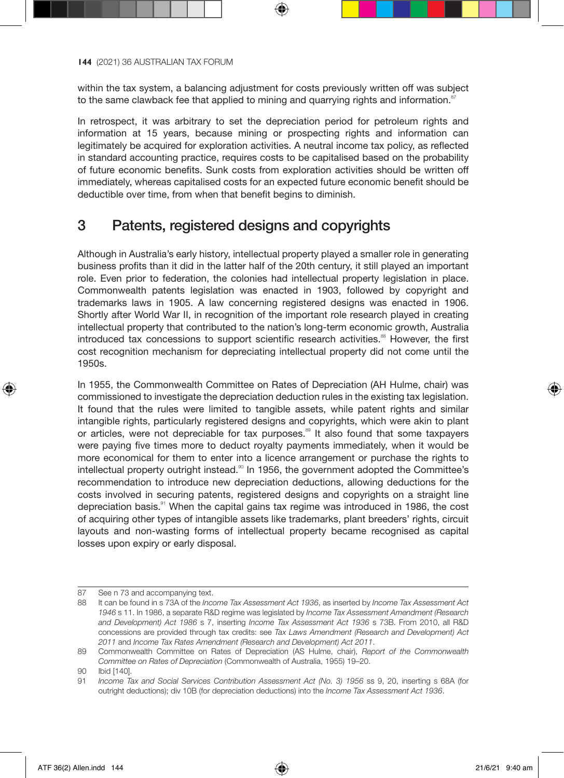within the tax system, a balancing adjustment for costs previously written off was subject to the same clawback fee that applied to mining and quarrying rights and information.<sup>8</sup>

In retrospect, it was arbitrary to set the depreciation period for petroleum rights and information at 15 years, because mining or prospecting rights and information can legitimately be acquired for exploration activities. A neutral income tax policy, as reflected in standard accounting practice, requires costs to be capitalised based on the probability of future economic benefits. Sunk costs from exploration activities should be written off immediately, whereas capitalised costs for an expected future economic benefit should be deductible over time, from when that benefit begins to diminish.

# 3 Patents, registered designs and copyrights

Although in Australia's early history, intellectual property played a smaller role in generating business profits than it did in the latter half of the 20th century, it still played an important role. Even prior to federation, the colonies had intellectual property legislation in place. Commonwealth patents legislation was enacted in 1903, followed by copyright and trademarks laws in 1905. A law concerning registered designs was enacted in 1906. Shortly after World War II, in recognition of the important role research played in creating intellectual property that contributed to the nation's long-term economic growth, Australia introduced tax concessions to support scientific research activities.<sup>88</sup> However, the first cost recognition mechanism for depreciating intellectual property did not come until the 1950s.

In 1955, the Commonwealth Committee on Rates of Depreciation (AH Hulme, chair) was commissioned to investigate the depreciation deduction rules in the existing tax legislation. It found that the rules were limited to tangible assets, while patent rights and similar intangible rights, particularly registered designs and copyrights, which were akin to plant or articles, were not depreciable for tax purposes.<sup>89</sup> It also found that some taxpayers were paying five times more to deduct royalty payments immediately, when it would be more economical for them to enter into a licence arrangement or purchase the rights to intellectual property outright instead.<sup>80</sup> In 1956, the government adopted the Committee's recommendation to introduce new depreciation deductions, allowing deductions for the costs involved in securing patents, registered designs and copyrights on a straight line depreciation basis.<sup>91</sup> When the capital gains tax regime was introduced in 1986, the cost of acquiring other types of intangible assets like trademarks, plant breeders' rights, circuit layouts and non-wasting forms of intellectual property became recognised as capital losses upon expiry or early disposal.

⊕

<sup>87</sup> See n 73 and accompanying text.

<sup>88</sup> It can be found in s 73A of the *Income Tax Assessment Act 1936*, as inserted by *Income Tax Assessment Act 1946* s 11. In 1986, a separate R&D regime was legislated by *Income Tax Assessment Amendment (Research and Development) Act 1986* s 7, inserting *Income Tax Assessment Act 1936* s 73B. From 2010, all R&D concessions are provided through tax credits: see *Tax Laws Amendment (Research and Development) Act 2011* and *Income Tax Rates Amendment (Research and Development) Act 2011*.

<sup>89</sup> Commonwealth Committee on Rates of Depreciation (AS Hulme, chair), *Report of the Commonwealth Committee on Rates of Depreciation* (Commonwealth of Australia, 1955) 19–20.

<sup>90</sup> Ibid [140].

<sup>91</sup> *Income Tax and Social Services Contribution Assessment Act (No. 3) 1956* ss 9, 20, inserting s 68A (for outright deductions); div 10B (for depreciation deductions) into the *Income Tax Assessment Act 1936*.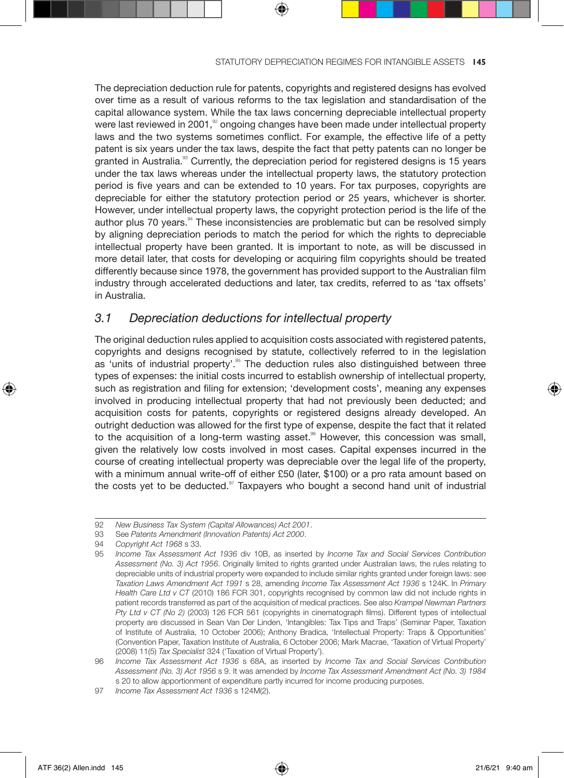The depreciation deduction rule for patents, copyrights and registered designs has evolved over time as a result of various reforms to the tax legislation and standardisation of the capital allowance system. While the tax laws concerning depreciable intellectual property were last reviewed in 2001,<sup>32</sup> ongoing changes have been made under intellectual property laws and the two systems sometimes conflict. For example, the effective life of a petty patent is six years under the tax laws, despite the fact that petty patents can no longer be granted in Australia. $\frac{30}{2}$  Currently, the depreciation period for registered designs is 15 years under the tax laws whereas under the intellectual property laws, the statutory protection period is five years and can be extended to 10 years. For tax purposes, copyrights are depreciable for either the statutory protection period or 25 years, whichever is shorter. However, under intellectual property laws, the copyright protection period is the life of the author plus 70 years. $94$  These inconsistencies are problematic but can be resolved simply by aligning depreciation periods to match the period for which the rights to depreciable intellectual property have been granted. It is important to note, as will be discussed in more detail later, that costs for developing or acquiring film copyrights should be treated differently because since 1978, the government has provided support to the Australian film industry through accelerated deductions and later, tax credits, referred to as 'tax offsets' in Australia.

## *3.1 Depreciation deductions for intellectual property*

The original deduction rules applied to acquisition costs associated with registered patents, copyrights and designs recognised by statute, collectively referred to in the legislation as 'units of industrial property'.<sup>95</sup> The deduction rules also distinguished between three types of expenses: the initial costs incurred to establish ownership of intellectual property, such as registration and filing for extension; 'development costs', meaning any expenses involved in producing intellectual property that had not previously been deducted; and acquisition costs for patents, copyrights or registered designs already developed. An outright deduction was allowed for the first type of expense, despite the fact that it related to the acquisition of a long-term wasting asset. $96$  However, this concession was small, given the relatively low costs involved in most cases. Capital expenses incurred in the course of creating intellectual property was depreciable over the legal life of the property, with a minimum annual write-off of either £50 (later, \$100) or a pro rata amount based on the costs yet to be deducted. $97$  Taxpayers who bought a second hand unit of industrial

93 See *Patents Amendment (Innovation Patents) Act 2000*.

⊕

<sup>92</sup> *New Business Tax System (Capital Allowances) Act 2001*.

<sup>94</sup> *Copyright Act 1968* s 33.

<sup>95</sup> *Income Tax Assessment Act 1936* div 10B, as inserted by *Income Tax and Social Services Contribution Assessment (No. 3) Act 1956*. Originally limited to rights granted under Australian laws, the rules relating to depreciable units of industrial property were expanded to include similar rights granted under foreign laws: see *Taxation Laws Amendment Act 1991* s 28, amending *Income Tax Assessment Act 1936* s 124K. In *Primary Health Care Ltd v CT* (2010) 186 FCR 301, copyrights recognised by common law did not include rights in patient records transferred as part of the acquisition of medical practices. See also *Krampel Newman Partners Pty Ltd v CT (No 2)* (2003) 126 FCR 561 (copyrights in cinematograph films). Different types of intellectual property are discussed in Sean Van Der Linden, 'Intangibles: Tax Tips and Traps' (Seminar Paper, Taxation of Institute of Australia, 10 October 2006); Anthony Bradica, 'Intellectual Property: Traps & Opportunities' (Convention Paper, Taxation Institute of Australia, 6 October 2006; Mark Macrae, 'Taxation of Virtual Property' (2008) 11(5) *Tax Specialist* 324 ('Taxation of Virtual Property').

<sup>96</sup> *Income Tax Assessment Act 1936* s 68A, as inserted by *Income Tax and Social Services Contribution Assessment (No. 3) Act 1956* s 9. It was amended by *Income Tax Assessment Amendment Act (No. 3) 1984* s 20 to allow apportionment of expenditure partly incurred for income producing purposes.

<sup>97</sup> *Income Tax Assessment Act 1936* s 124M(2).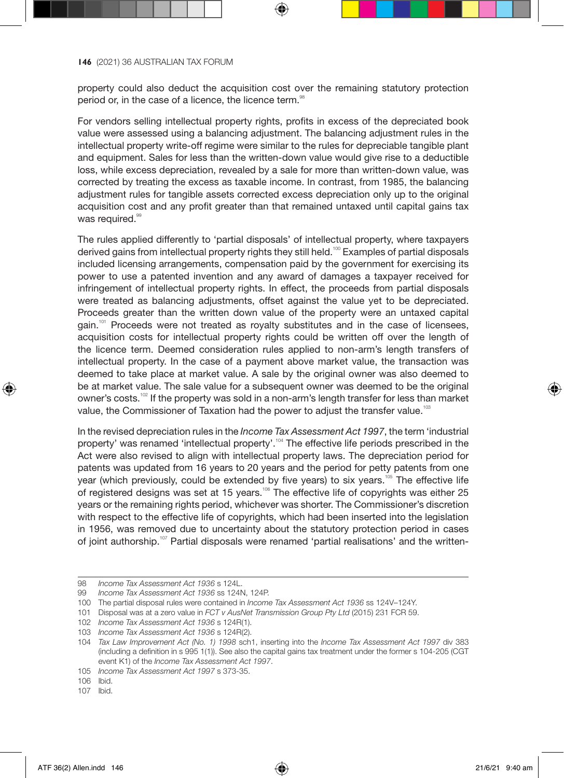property could also deduct the acquisition cost over the remaining statutory protection period or, in the case of a licence, the licence term.<sup>88</sup>

For vendors selling intellectual property rights, profits in excess of the depreciated book value were assessed using a balancing adjustment. The balancing adjustment rules in the intellectual property write-off regime were similar to the rules for depreciable tangible plant and equipment. Sales for less than the written-down value would give rise to a deductible loss, while excess depreciation, revealed by a sale for more than written-down value, was corrected by treating the excess as taxable income. In contrast, from 1985, the balancing adjustment rules for tangible assets corrected excess depreciation only up to the original acquisition cost and any profit greater than that remained untaxed until capital gains tax was required.<sup>99</sup>

The rules applied differently to 'partial disposals' of intellectual property, where taxpayers derived gains from intellectual property rights they still held.<sup>100</sup> Examples of partial disposals included licensing arrangements, compensation paid by the government for exercising its power to use a patented invention and any award of damages a taxpayer received for infringement of intellectual property rights. In effect, the proceeds from partial disposals were treated as balancing adjustments, offset against the value yet to be depreciated. Proceeds greater than the written down value of the property were an untaxed capital gain.<sup>101</sup> Proceeds were not treated as royalty substitutes and in the case of licensees, acquisition costs for intellectual property rights could be written off over the length of the licence term. Deemed consideration rules applied to non-arm's length transfers of intellectual property. In the case of a payment above market value, the transaction was deemed to take place at market value. A sale by the original owner was also deemed to be at market value. The sale value for a subsequent owner was deemed to be the original owner's costs.<sup>102</sup> If the property was sold in a non-arm's length transfer for less than market value, the Commissioner of Taxation had the power to adjust the transfer value.<sup>103</sup>

In the revised depreciation rules in the *Income Tax Assessment Act 1997*, the term 'industrial property' was renamed 'intellectual property'.<sup>104</sup> The effective life periods prescribed in the Act were also revised to align with intellectual property laws. The depreciation period for patents was updated from 16 years to 20 years and the period for petty patents from one year (which previously, could be extended by five years) to six years.<sup>105</sup> The effective life of registered designs was set at 15 years.<sup>106</sup> The effective life of copyrights was either 25 years or the remaining rights period, whichever was shorter. The Commissioner's discretion with respect to the effective life of copyrights, which had been inserted into the legislation in 1956, was removed due to uncertainty about the statutory protection period in cases of joint authorship.<sup>107</sup> Partial disposals were renamed 'partial realisations' and the written-

⊕

<sup>98</sup> *Income Tax Assessment Act 1936* s 124L.

<sup>99</sup> *Income Tax Assessment Act 1936* ss 124N, 124P.

<sup>100</sup> The partial disposal rules were contained in *Income Tax Assessment Act 1936* ss 124V–124Y.

<sup>101</sup> Disposal was at a zero value in *FCT v AusNet Transmission Group Pty Ltd* (2015) 231 FCR 59.

<sup>102</sup> *Income Tax Assessment Act 1936* s 124R(1).

<sup>103</sup> *Income Tax Assessment Act 1936* s 124R(2).

<sup>104</sup> *Tax Law Improvement Act (No. 1) 1998* sch1, inserting into the *Income Tax Assessment Act 1997* div 383 (including a definition in s 995 1(1)). See also the capital gains tax treatment under the former s 104-205 (CGT event K1) of the *Income Tax Assessment Act 1997*.

<sup>105</sup> *Income Tax Assessment Act 1997* s 373-35.

<sup>106</sup> Ibid.

<sup>107</sup> Ibid.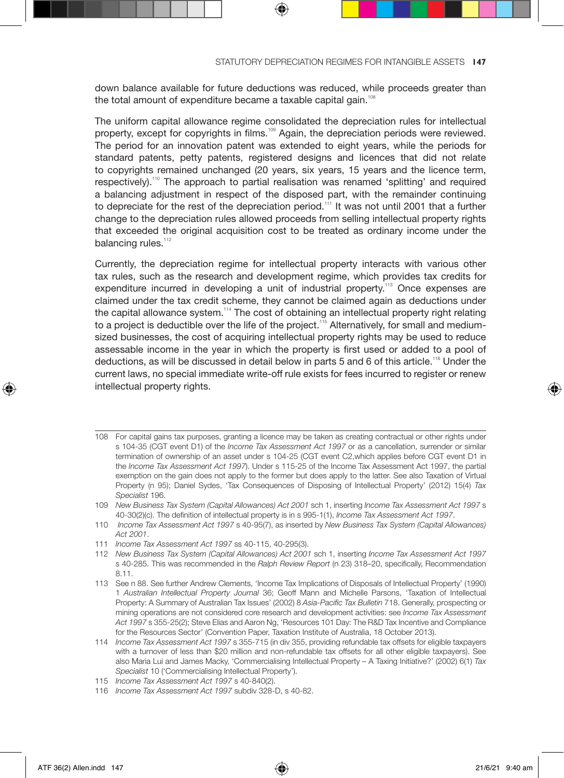down balance available for future deductions was reduced, while proceeds greater than the total amount of expenditure became a taxable capital gain.<sup>10</sup>

The uniform capital allowance regime consolidated the depreciation rules for intellectual property, except for copyrights in films.<sup>109</sup> Again, the depreciation periods were reviewed. The period for an innovation patent was extended to eight years, while the periods for standard patents, petty patents, registered designs and licences that did not relate to copyrights remained unchanged (20 years, six years, 15 years and the licence term, respectively).<sup>110</sup> The approach to partial realisation was renamed 'splitting' and required a balancing adjustment in respect of the disposed part, with the remainder continuing to depreciate for the rest of the depreciation period.<sup>111</sup> It was not until 2001 that a further change to the depreciation rules allowed proceeds from selling intellectual property rights that exceeded the original acquisition cost to be treated as ordinary income under the balancing rules.<sup>112</sup>

Currently, the depreciation regime for intellectual property interacts with various other tax rules, such as the research and development regime, which provides tax credits for expenditure incurred in developing a unit of industrial property.<sup>113</sup> Once expenses are claimed under the tax credit scheme, they cannot be claimed again as deductions under the capital allowance system.<sup>114</sup> The cost of obtaining an intellectual property right relating to a project is deductible over the life of the project.<sup>115</sup> Alternatively, for small and mediumsized businesses, the cost of acquiring intellectual property rights may be used to reduce assessable income in the year in which the property is first used or added to a pool of deductions, as will be discussed in detail below in parts 5 and 6 of this article.<sup>116</sup> Under the current laws, no special immediate write-off rule exists for fees incurred to register or renew intellectual property rights.

- 108 For capital gains tax purposes, granting a licence may be taken as creating contractual or other rights under s 104-35 (CGT event D1) of the *Income Tax Assessment Act 1997* or as a cancellation, surrender or similar termination of ownership of an asset under s 104-25 (CGT event C2,which applies before CGT event D1 in the *Income Tax Assessment Act 1997*). Under s 115-25 of the Income Tax Assessment Act 1997, the partial exemption on the gain does not apply to the former but does apply to the latter. See also Taxation of Virtual Property (n 95); Daniel Sydes, 'Tax Consequences of Disposing of Intellectual Property' (2012) 15(4) *Tax Specialist* 196.
- 109 *New Business Tax System (Capital Allowances) Act 2001* sch 1, inserting *Income Tax Assessment Act 1997* s 40-30(2)(c). The definition of intellectual property is in s 995-1(1), *Income Tax Assessment Act 1997*.
- 110 *Income Tax Assessment Act 1997* s 40-95(7), as inserted by *New Business Tax System (Capital Allowances) Act 2001*.
- 111 *Income Tax Assessment Act 1997* ss 40-115, 40-295(3).
- 112 *New Business Tax System (Capital Allowances) Act 2001* sch 1, inserting *Income Tax Assessment Act 1997* s 40-285. This was recommended in the *Ralph Review Report* (n 23) 318–20, specifically, Recommendation 8.11.
- 113 See n 88. See further Andrew Clements, 'Income Tax Implications of Disposals of Intellectual Property' (1990) 1 *Australian Intellectual Property Journal* 36; Geoff Mann and Michelle Parsons, 'Taxation of Intellectual Property: A Summary of Australian Tax Issues' (2002) 8 *Asia-Pacific Tax Bulletin* 718. Generally, prospecting or mining operations are not considered core research and development activities: see *Income Tax Assessment Act 1997* s 355-25(2); Steve Elias and Aaron Ng, 'Resources 101 Day: The R&D Tax Incentive and Compliance for the Resources Sector' (Convention Paper, Taxation Institute of Australia, 18 October 2013).
- 114 *Income Tax Assessment Act 1997* s 355-715 (in div 355, providing refundable tax offsets for eligible taxpayers with a turnover of less than \$20 million and non-refundable tax offsets for all other eligible taxpayers). See also Maria Lui and James Macky, 'Commercialising Intellectual Property – A Taxing Initiative?' (2002) 6(1) *Tax Specialist* 10 ('Commercialising Intellectual Property').
- 115 *Income Tax Assessment Act 1997* s 40-840(2).
- 116 *Income Tax Assessment Act 1997* subdiv 328-D, s 40-82.

⊕

♠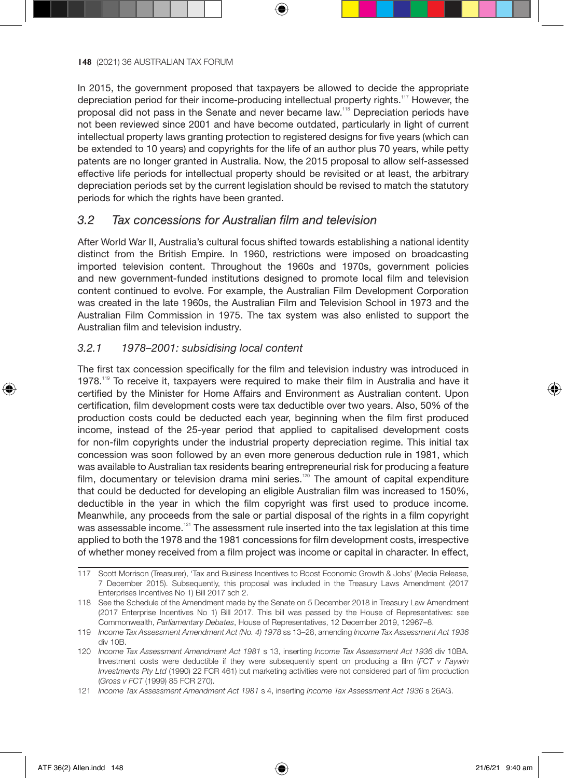In 2015, the government proposed that taxpayers be allowed to decide the appropriate depreciation period for their income-producing intellectual property rights.<sup>117</sup> However, the proposal did not pass in the Senate and never became law.<sup>118</sup> Depreciation periods have not been reviewed since 2001 and have become outdated, particularly in light of current intellectual property laws granting protection to registered designs for five years (which can be extended to 10 years) and copyrights for the life of an author plus 70 years, while petty patents are no longer granted in Australia. Now, the 2015 proposal to allow self-assessed effective life periods for intellectual property should be revisited or at least, the arbitrary depreciation periods set by the current legislation should be revised to match the statutory periods for which the rights have been granted.

## *3.2 Tax concessions for Australian film and television*

After World War II, Australia's cultural focus shifted towards establishing a national identity distinct from the British Empire. In 1960, restrictions were imposed on broadcasting imported television content. Throughout the 1960s and 1970s, government policies and new government-funded institutions designed to promote local film and television content continued to evolve. For example, the Australian Film Development Corporation was created in the late 1960s, the Australian Film and Television School in 1973 and the Australian Film Commission in 1975. The tax system was also enlisted to support the Australian film and television industry.

#### *3.2.1 1978–2001: subsidising local content*

The first tax concession specifically for the film and television industry was introduced in 1978.<sup>119</sup> To receive it, taxpayers were required to make their film in Australia and have it certified by the Minister for Home Affairs and Environment as Australian content. Upon certification, film development costs were tax deductible over two years. Also, 50% of the production costs could be deducted each year, beginning when the film first produced income, instead of the 25-year period that applied to capitalised development costs for non-film copyrights under the industrial property depreciation regime. This initial tax concession was soon followed by an even more generous deduction rule in 1981, which was available to Australian tax residents bearing entrepreneurial risk for producing a feature film, documentary or television drama mini series.<sup>120</sup> The amount of capital expenditure that could be deducted for developing an eligible Australian film was increased to 150%, deductible in the year in which the film copyright was first used to produce income. Meanwhile, any proceeds from the sale or partial disposal of the rights in a film copyright was assessable income.<sup>121</sup> The assessment rule inserted into the tax legislation at this time applied to both the 1978 and the 1981 concessions for film development costs, irrespective of whether money received from a film project was income or capital in character. In effect,

<sup>117</sup> Scott Morrison (Treasurer), 'Tax and Business Incentives to Boost Economic Growth & Jobs' (Media Release, 7 December 2015). Subsequently, this proposal was included in the Treasury Laws Amendment (2017 Enterprises Incentives No 1) Bill 2017 sch 2.

<sup>118</sup> See the Schedule of the Amendment made by the Senate on 5 December 2018 in Treasury Law Amendment (2017 Enterprise Incentives No 1) Bill 2017. This bill was passed by the House of Representatives: see Commonwealth, *Parliamentary Debates*, House of Representatives, 12 December 2019, 12967–8.

<sup>119</sup> *Income Tax Assessment Amendment Act (No. 4) 1978* ss 13–28, amending *Income Tax Assessment Act 1936* div 10B.

<sup>120</sup> *Income Tax Assessment Amendment Act 1981* s 13, inserting *Income Tax Assessment Act 1936* div 10BA. Investment costs were deductible if they were subsequently spent on producing a film (*FCT v Faywin Investments Pty Ltd* (1990) 22 FCR 461) but marketing activities were not considered part of film production (*Gross v FCT* (1999) 85 FCR 270).

<sup>121</sup> *Income Tax Assessment Amendment Act 1981* s 4, inserting *Income Tax Assessment Act 1936* s 26AG.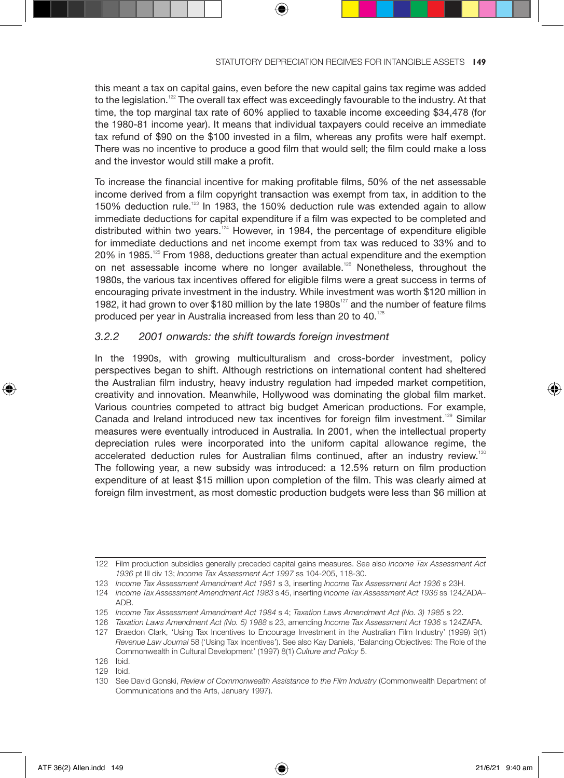this meant a tax on capital gains, even before the new capital gains tax regime was added to the legislation.<sup>122</sup> The overall tax effect was exceedingly favourable to the industry. At that time, the top marginal tax rate of 60% applied to taxable income exceeding \$34,478 (for the 1980-81 income year). It means that individual taxpayers could receive an immediate tax refund of \$90 on the \$100 invested in a film, whereas any profits were half exempt. There was no incentive to produce a good film that would sell; the film could make a loss and the investor would still make a profit.

To increase the financial incentive for making profitable films, 50% of the net assessable income derived from a film copyright transaction was exempt from tax, in addition to the 150% deduction rule.<sup>123</sup> In 1983, the 150% deduction rule was extended again to allow immediate deductions for capital expenditure if a film was expected to be completed and distributed within two years. $124$  However, in 1984, the percentage of expenditure eligible for immediate deductions and net income exempt from tax was reduced to 33% and to  $20\%$  in 1985.<sup>125</sup> From 1988, deductions greater than actual expenditure and the exemption on net assessable income where no longer available.<sup>126</sup> Nonetheless, throughout the 1980s, the various tax incentives offered for eligible films were a great success in terms of encouraging private investment in the industry. While investment was worth \$120 million in 1982, it had grown to over \$180 million by the late 1980s $^{127}$  and the number of feature films produced per year in Australia increased from less than 20 to 40.<sup>128</sup>

### *3.2.2 2001 onwards: the shift towards foreign investment*

In the 1990s, with growing multiculturalism and cross-border investment, policy perspectives began to shift. Although restrictions on international content had sheltered the Australian film industry, heavy industry regulation had impeded market competition, creativity and innovation. Meanwhile, Hollywood was dominating the global film market. Various countries competed to attract big budget American productions. For example, Canada and Ireland introduced new tax incentives for foreign film investment.<sup>129</sup> Similar measures were eventually introduced in Australia. In 2001, when the intellectual property depreciation rules were incorporated into the uniform capital allowance regime, the accelerated deduction rules for Australian films continued, after an industry review.<sup>130</sup> The following year, a new subsidy was introduced: a 12.5% return on film production expenditure of at least \$15 million upon completion of the film. This was clearly aimed at foreign film investment, as most domestic production budgets were less than \$6 million at

↔

<sup>122</sup> Film production subsidies generally preceded capital gains measures. See also *Income Tax Assessment Act 1936* pt III div 13; *Income Tax Assessment Act 1997* ss 104-205, 118-30.

<sup>123</sup> *Income Tax Assessment Amendment Act 1981* s 3, inserting *Income Tax Assessment Act 1936* s 23H.

<sup>124</sup> *Income Tax Assessment Amendment Act 1983* s 45, inserting *Income Tax Assessment Act 1936* ss 124ZADA– ADB.

<sup>125</sup> *Income Tax Assessment Amendment Act 1984* s 4; *Taxation Laws Amendment Act (No. 3) 1985* s 22.

<sup>126</sup> *Taxation Laws Amendment Act (No. 5) 1988* s 23, amending *Income Tax Assessment Act 1936* s 124ZAFA.

<sup>127</sup> Braedon Clark, 'Using Tax Incentives to Encourage Investment in the Australian Film Industry' (1999) 9(1) *Revenue Law Journal* 58 ('Using Tax Incentives'). See also Kay Daniels, 'Balancing Objectives: The Role of the Commonwealth in Cultural Development' (1997) 8(1) *Culture and Policy* 5.

<sup>128</sup> Ibid.

<sup>129</sup> Ibid.

<sup>130</sup> See David Gonski, *Review of Commonwealth Assistance to the Film Industry* (Commonwealth Department of Communications and the Arts, January 1997).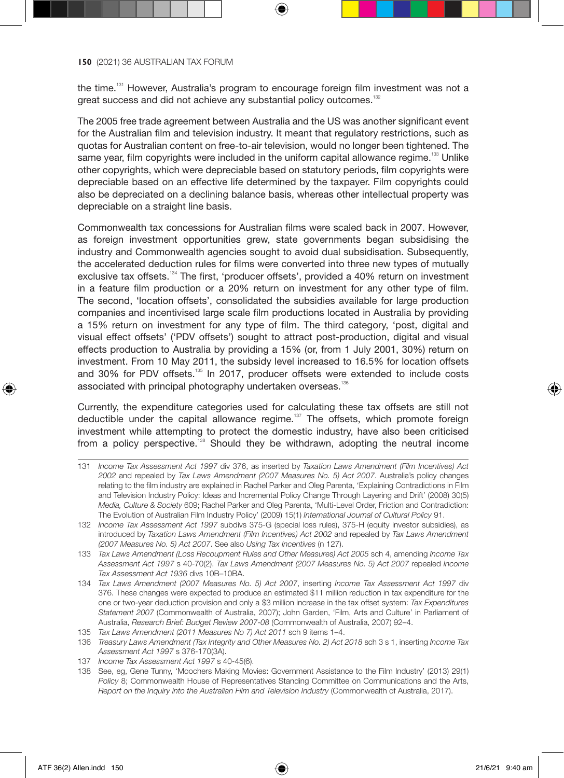the time.<sup>131</sup> However, Australia's program to encourage foreign film investment was not a great success and did not achieve any substantial policy outcomes.<sup>132</sup>

The 2005 free trade agreement between Australia and the US was another significant event for the Australian film and television industry. It meant that regulatory restrictions, such as quotas for Australian content on free-to-air television, would no longer been tightened. The same year, film copyrights were included in the uniform capital allowance regime.<sup>133</sup> Unlike other copyrights, which were depreciable based on statutory periods, film copyrights were depreciable based on an effective life determined by the taxpayer. Film copyrights could also be depreciated on a declining balance basis, whereas other intellectual property was depreciable on a straight line basis.

Commonwealth tax concessions for Australian films were scaled back in 2007. However, as foreign investment opportunities grew, state governments began subsidising the industry and Commonwealth agencies sought to avoid dual subsidisation. Subsequently, the accelerated deduction rules for films were converted into three new types of mutually exclusive tax offsets.<sup>134</sup> The first, 'producer offsets', provided a 40% return on investment in a feature film production or a 20% return on investment for any other type of film. The second, 'location offsets', consolidated the subsidies available for large production companies and incentivised large scale film productions located in Australia by providing a 15% return on investment for any type of film. The third category, 'post, digital and visual effect offsets' ('PDV offsets') sought to attract post-production, digital and visual effects production to Australia by providing a 15% (or, from 1 July 2001, 30%) return on investment. From 10 May 2011, the subsidy level increased to 16.5% for location offsets and 30% for PDV offsets.<sup>135</sup> In 2017, producer offsets were extended to include costs associated with principal photography undertaken overseas.<sup>136</sup>

Currently, the expenditure categories used for calculating these tax offsets are still not deductible under the capital allowance regime.<sup>137</sup> The offsets, which promote foreign investment while attempting to protect the domestic industry, have also been criticised from a policy perspective.<sup>138</sup> Should they be withdrawn, adopting the neutral income

<sup>131</sup> *Income Tax Assessment Act 1997* div 376, as inserted by *Taxation Laws Amendment (Film Incentives) Act 2002* and repealed by *Tax Laws Amendment (2007 Measures No. 5) Act 2007*. Australia's policy changes relating to the film industry are explained in Rachel Parker and Oleg Parenta, 'Explaining Contradictions in Film and Television Industry Policy: Ideas and Incremental Policy Change Through Layering and Drift' (2008) 30(5) *Media, Culture & Society* 609; Rachel Parker and Oleg Parenta, 'Multi-Level Order, Friction and Contradiction: The Evolution of Australian Film Industry Policy' (2009) 15(1) *International Journal of Cultural Policy* 91.

<sup>132</sup> *Income Tax Assessment Act 1997* subdivs 375-G (special loss rules), 375-H (equity investor subsidies), as introduced by *Taxation Laws Amendment (Film Incentives) Act 2002* and repealed by *Tax Laws Amendment (2007 Measures No. 5) Act 2007*. See also *Using Tax Incentives* (n 127).

<sup>133</sup> *Tax Laws Amendment (Loss Recoupment Rules and Other Measures) Act 2005* sch 4, amending *Income Tax Assessment Act 1997* s 40-70(2). *Tax Laws Amendment (2007 Measures No. 5) Act 2007* repealed *Income Tax Assessment Act 1936* divs 10B–10BA.

<sup>134</sup> *Tax Laws Amendment (2007 Measures No. 5) Act 2007*, inserting *Income Tax Assessment Act 1997* div 376. These changes were expected to produce an estimated \$11 million reduction in tax expenditure for the one or two-year deduction provision and only a \$3 million increase in the tax offset system: *Tax Expenditures Statement 2007* (Commonwealth of Australia, 2007); John Garden, 'Film, Arts and Culture' in Parliament of Australia, *Research Brief: Budget Review 2007-08* (Commonwealth of Australia, 2007) 92–4.

<sup>135</sup> *Tax Laws Amendment (2011 Measures No 7) Act 2011* sch 9 items 1–4.

<sup>136</sup> *Treasury Laws Amendment (Tax Integrity and Other Measures No. 2) Act 2018* sch 3 s 1, inserting *Income Tax Assessment Act 1997* s 376-170(3A).

<sup>137</sup> *Income Tax Assessment Act 1997* s 40-45(6).

<sup>138</sup> See, eg, Gene Tunny, 'Moochers Making Movies: Government Assistance to the Film Industry' (2013) 29(1) *Policy* 8; Commonwealth House of Representatives Standing Committee on Communications and the Arts, *Report on the Inquiry into the Australian Film and Television Industry* (Commonwealth of Australia, 2017).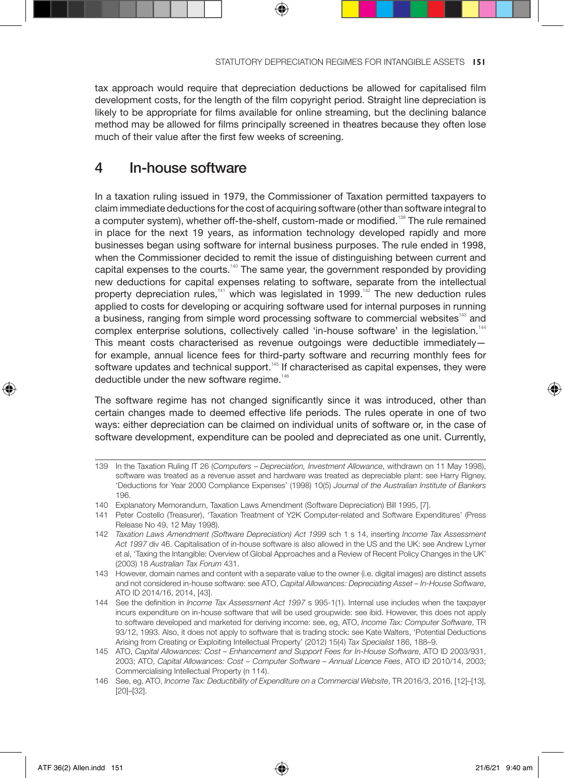tax approach would require that depreciation deductions be allowed for capitalised film development costs, for the length of the film copyright period. Straight line depreciation is likely to be appropriate for films available for online streaming, but the declining balance method may be allowed for films principally screened in theatres because they often lose much of their value after the first few weeks of screening.

# 4 In-house software

In a taxation ruling issued in 1979, the Commissioner of Taxation permitted taxpayers to claim immediate deductions for the cost of acquiring software (other than software integral to a computer system), whether off-the-shelf, custom-made or modified.<sup>139</sup> The rule remained in place for the next 19 years, as information technology developed rapidly and more businesses began using software for internal business purposes. The rule ended in 1998, when the Commissioner decided to remit the issue of distinguishing between current and capital expenses to the courts.<sup>140</sup> The same year, the government responded by providing new deductions for capital expenses relating to software, separate from the intellectual property depreciation rules, $141$  which was legislated in 1999.<sup>142</sup> The new deduction rules applied to costs for developing or acquiring software used for internal purposes in running a business, ranging from simple word processing software to commercial websites<sup>143</sup> and complex enterprise solutions, collectively called 'in-house software' in the legislation.<sup>144</sup> This meant costs characterised as revenue outgoings were deductible immediately for example, annual licence fees for third-party software and recurring monthly fees for software updates and technical support.<sup>145</sup> If characterised as capital expenses, they were deductible under the new software regime.<sup>146</sup>

The software regime has not changed significantly since it was introduced, other than certain changes made to deemed effective life periods. The rules operate in one of two ways: either depreciation can be claimed on individual units of software or, in the case of software development, expenditure can be pooled and depreciated as one unit. Currently,

- 139 In the Taxation Ruling IT 26 (*Computers Depreciation, Investment Allowance*, withdrawn on 11 May 1998), software was treated as a revenue asset and hardware was treated as depreciable plant: see Harry Rigney, 'Deductions for Year 2000 Compliance Expenses' (1998) 10(5) *Journal of the Australian Institute of Bankers* 196.
- 140 Explanatory Memorandum, Taxation Laws Amendment (Software Depreciation) Bill 1995, [7].
- 141 Peter Costello (Treasurer), 'Taxation Treatment of Y2K Computer-related and Software Expenditures' (Press Release No 49, 12 May 1998).
- 142 *Taxation Laws Amendment (Software Depreciation) Act 1999* sch 1 s 14, inserting *Income Tax Assessment Act 1997* div 46. Capitalisation of in-house software is also allowed in the US and the UK: see Andrew Lymer et al, 'Taxing the Intangible: Overview of Global Approaches and a Review of Recent Policy Changes in the UK' (2003) 18 *Australian Tax Forum* 431.
- 143 However, domain names and content with a separate value to the owner (i.e. digital images) are distinct assets and not considered in-house software: see ATO, *Capital Allowances: Depreciating Asset – In-House Software*, ATO ID 2014/16, 2014, [43].
- 144 See the definition in *Income Tax Assessment Act 1997* s 995-1(1). Internal use includes when the taxpayer incurs expenditure on in-house software that will be used groupwide: see ibid. However, this does not apply to software developed and marketed for deriving income: see, eg, ATO, *Income Tax: Computer Software*, TR 93/12, 1993. Also, it does not apply to software that is trading stock: see Kate Walters, 'Potential Deductions Arising from Creating or Exploiting Intellectual Property' (2012) 15(4) *Tax Specialist* 186, 188–9.
- 145 ATO, *Capital Allowances: Cost Enhancement and Support Fees for In-House Software*, ATO ID 2003/931, 2003; ATO, *Capital Allowances: Cost – Computer Software – Annual Licence Fees*, ATO ID 2010/14, 2003; Commercialising Intellectual Property (n 114).
- 146 See, eg, ATO, *Income Tax: Deductibility of Expenditure on a Commercial Website*, TR 2016/3, 2016, [12]–[13], [20]–[32].

↔

♠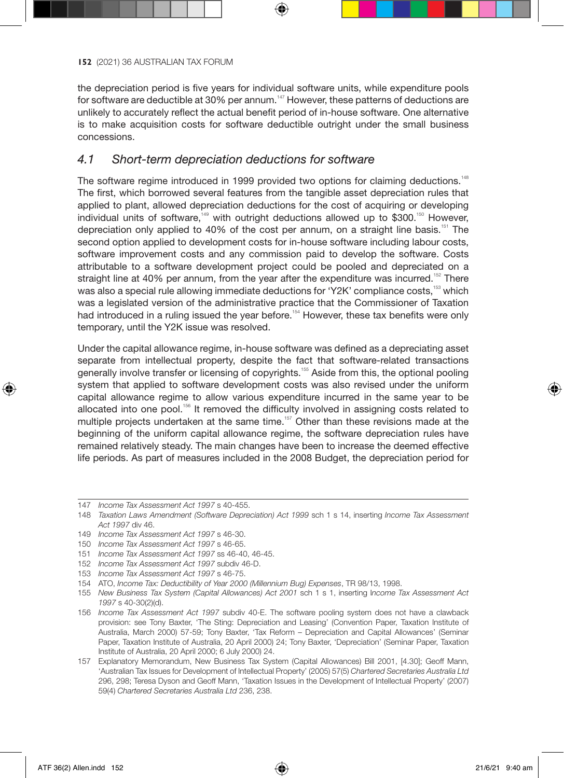the depreciation period is five years for individual software units, while expenditure pools for software are deductible at 30% per annum.<sup>147</sup> However, these patterns of deductions are unlikely to accurately reflect the actual benefit period of in-house software. One alternative is to make acquisition costs for software deductible outright under the small business concessions.

# *4.1 Short-term depreciation deductions for software*

The software regime introduced in 1999 provided two options for claiming deductions.<sup>148</sup> The first, which borrowed several features from the tangible asset depreciation rules that applied to plant, allowed depreciation deductions for the cost of acquiring or developing individual units of software,<sup>149</sup> with outright deductions allowed up to \$300.<sup>150</sup> However. depreciation only applied to 40% of the cost per annum, on a straight line basis.<sup>151</sup> The second option applied to development costs for in-house software including labour costs, software improvement costs and any commission paid to develop the software. Costs attributable to a software development project could be pooled and depreciated on a straight line at 40% per annum, from the year after the expenditure was incurred.<sup>152</sup> There was also a special rule allowing immediate deductions for 'Y2K' compliance costs,<sup>153</sup> which was a legislated version of the administrative practice that the Commissioner of Taxation had introduced in a ruling issued the year before.<sup>154</sup> However, these tax benefits were only temporary, until the Y2K issue was resolved.

Under the capital allowance regime, in-house software was defined as a depreciating asset separate from intellectual property, despite the fact that software-related transactions generally involve transfer or licensing of copyrights.<sup>155</sup> Aside from this, the optional pooling system that applied to software development costs was also revised under the uniform capital allowance regime to allow various expenditure incurred in the same year to be allocated into one pool.<sup>156</sup> It removed the difficulty involved in assigning costs related to multiple projects undertaken at the same time.<sup>157</sup> Other than these revisions made at the beginning of the uniform capital allowance regime, the software depreciation rules have remained relatively steady. The main changes have been to increase the deemed effective life periods. As part of measures included in the 2008 Budget, the depreciation period for

⊕

<sup>147</sup> *Income Tax Assessment Act 1997* s 40-455.

<sup>148</sup> *Taxation Laws Amendment (Software Depreciation) Act 1999* sch 1 s 14, inserting *Income Tax Assessment Act 1997* div 46.

<sup>149</sup> *Income Tax Assessment Act 1997* s 46-30.

<sup>150</sup> *Income Tax Assessment Act 1997* s 46-65.

<sup>151</sup> *Income Tax Assessment Act 1997* ss 46-40, 46-45.

<sup>152</sup> *Income Tax Assessment Act 1997* subdiv 46-D.

<sup>153</sup> *Income Tax Assessment Act 1997* s 46-75.

<sup>154</sup> ATO, *Income Tax: Deductibility of Year 2000 (Millennium Bug) Expenses*, TR 98/13, 1998.

<sup>155</sup> *New Business Tax System (Capital Allowances) Act 2001* sch 1 s 1, inserting I*ncome Tax Assessment Act 1997* s 40-30(2)(d).

<sup>156</sup> *Income Tax Assessment Act 1997* subdiv 40-E. The software pooling system does not have a clawback provision: see Tony Baxter, 'The Sting: Depreciation and Leasing' (Convention Paper, Taxation Institute of Australia, March 2000) 57-59; Tony Baxter, 'Tax Reform – Depreciation and Capital Allowances' (Seminar Paper, Taxation Institute of Australia, 20 April 2000) 24; Tony Baxter, 'Depreciation' (Seminar Paper, Taxation Institute of Australia, 20 April 2000; 6 July 2000) 24.

<sup>157</sup> Explanatory Memorandum, New Business Tax System (Capital Allowances) Bill 2001, [4.30]; Geoff Mann, 'Australian Tax Issues for Development of Intellectual Property' (2005) 57(5) *Chartered Secretaries Australia Ltd* 296, 298; Teresa Dyson and Geoff Mann, 'Taxation Issues in the Development of Intellectual Property' (2007) 59(4) *Chartered Secretaries Australia Ltd* 236, 238.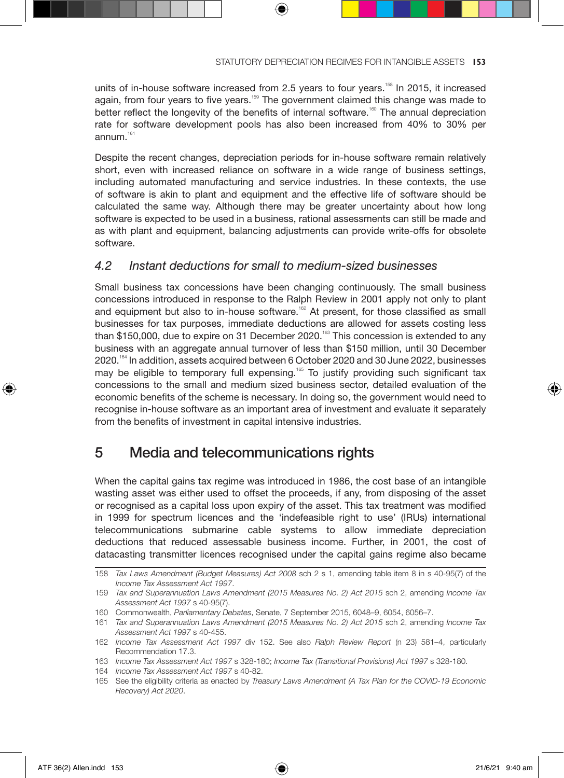units of in-house software increased from 2.5 years to four years.<sup>158</sup> In 2015, it increased again, from four years to five years.<sup>159</sup> The government claimed this change was made to better reflect the longevity of the benefits of internal software.<sup>160</sup> The annual depreciation rate for software development pools has also been increased from 40% to 30% per annum.<sup>161</sup>

⊕

Despite the recent changes, depreciation periods for in-house software remain relatively short, even with increased reliance on software in a wide range of business settings, including automated manufacturing and service industries. In these contexts, the use of software is akin to plant and equipment and the effective life of software should be calculated the same way. Although there may be greater uncertainty about how long software is expected to be used in a business, rational assessments can still be made and as with plant and equipment, balancing adjustments can provide write-offs for obsolete software.

# *4.2 Instant deductions for small to medium-sized businesses*

Small business tax concessions have been changing continuously. The small business concessions introduced in response to the Ralph Review in 2001 apply not only to plant and equipment but also to in-house software.<sup>162</sup> At present, for those classified as small businesses for tax purposes, immediate deductions are allowed for assets costing less than \$150,000, due to expire on 31 December 2020.<sup>163</sup> This concession is extended to any business with an aggregate annual turnover of less than \$150 million, until 30 December 2020.<sup>164</sup> In addition, assets acquired between 6 October 2020 and 30 June 2022, businesses may be eligible to temporary full expensing.<sup>165</sup> To justify providing such significant tax concessions to the small and medium sized business sector, detailed evaluation of the economic benefits of the scheme is necessary. In doing so, the government would need to recognise in-house software as an important area of investment and evaluate it separately from the benefits of investment in capital intensive industries.

# 5 Media and telecommunications rights

When the capital gains tax regime was introduced in 1986, the cost base of an intangible wasting asset was either used to offset the proceeds, if any, from disposing of the asset or recognised as a capital loss upon expiry of the asset. This tax treatment was modified in 1999 for spectrum licences and the 'indefeasible right to use' (IRUs) international telecommunications submarine cable systems to allow immediate depreciation deductions that reduced assessable business income. Further, in 2001, the cost of datacasting transmitter licences recognised under the capital gains regime also became

↔

<sup>158</sup> *Tax Laws Amendment (Budget Measures) Act 2008* sch 2 s 1, amending table item 8 in s 40-95(7) of the *Income Tax Assessment Act 1997*.

<sup>159</sup> *Tax and Superannuation Laws Amendment (2015 Measures No. 2) Act 2015* sch 2, amending *Income Tax Assessment Act 1997* s 40-95(7).

<sup>160</sup> Commonwealth, *Parliamentary Debates*, Senate, 7 September 2015, 6048–9, 6054, 6056–7.

<sup>161</sup> *Tax and Superannuation Laws Amendment (2015 Measures No. 2) Act 2015* sch 2, amending *Income Tax Assessment Act 1997* s 40-455.

<sup>162</sup> *Income Tax Assessment Act 1997* div 152. See also *Ralph Review Report* (n 23) 581–4, particularly Recommendation 17.3.

<sup>163</sup> *Income Tax Assessment Act 1997* s 328-180; *Income Tax (Transitional Provisions) Act 1997* s 328-180.

<sup>164</sup> *Income Tax Assessment Act 1997* s 40-82.

<sup>165</sup> See the eligibility criteria as enacted by *Treasury Laws Amendment (A Tax Plan for the COVID-19 Economic Recovery) Act 2020*.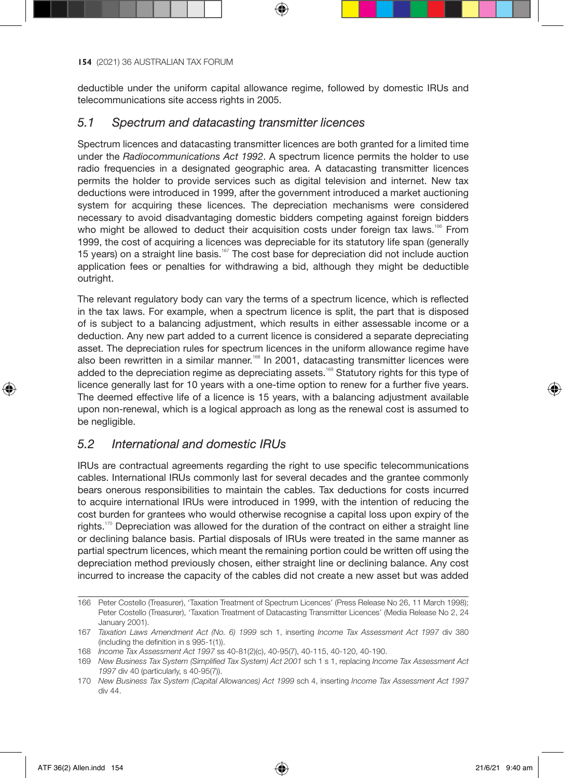deductible under the uniform capital allowance regime, followed by domestic IRUs and telecommunications site access rights in 2005.

## *5.1 Spectrum and datacasting transmitter licences*

Spectrum licences and datacasting transmitter licences are both granted for a limited time under the *Radiocommunications Act 1992*. A spectrum licence permits the holder to use radio frequencies in a designated geographic area. A datacasting transmitter licences permits the holder to provide services such as digital television and internet. New tax deductions were introduced in 1999, after the government introduced a market auctioning system for acquiring these licences. The depreciation mechanisms were considered necessary to avoid disadvantaging domestic bidders competing against foreign bidders who might be allowed to deduct their acquisition costs under foreign tax laws.<sup>166</sup> From 1999, the cost of acquiring a licences was depreciable for its statutory life span (generally 15 years) on a straight line basis.<sup>167</sup> The cost base for depreciation did not include auction application fees or penalties for withdrawing a bid, although they might be deductible outright.

The relevant regulatory body can vary the terms of a spectrum licence, which is reflected in the tax laws. For example, when a spectrum licence is split, the part that is disposed of is subject to a balancing adjustment, which results in either assessable income or a deduction. Any new part added to a current licence is considered a separate depreciating asset. The depreciation rules for spectrum licences in the uniform allowance regime have also been rewritten in a similar manner.<sup>168</sup> In 2001, datacasting transmitter licences were added to the depreciation regime as depreciating assets.<sup>169</sup> Statutory rights for this type of licence generally last for 10 years with a one-time option to renew for a further five years. The deemed effective life of a licence is 15 years, with a balancing adjustment available upon non-renewal, which is a logical approach as long as the renewal cost is assumed to be negligible.

# *5.2 International and domestic IRUs*

IRUs are contractual agreements regarding the right to use specific telecommunications cables. International IRUs commonly last for several decades and the grantee commonly bears onerous responsibilities to maintain the cables. Tax deductions for costs incurred to acquire international IRUs were introduced in 1999, with the intention of reducing the cost burden for grantees who would otherwise recognise a capital loss upon expiry of the rights.<sup>170</sup> Depreciation was allowed for the duration of the contract on either a straight line or declining balance basis. Partial disposals of IRUs were treated in the same manner as partial spectrum licences, which meant the remaining portion could be written off using the depreciation method previously chosen, either straight line or declining balance. Any cost incurred to increase the capacity of the cables did not create a new asset but was added

⊕

<sup>166</sup> Peter Costello (Treasurer), 'Taxation Treatment of Spectrum Licences' (Press Release No 26, 11 March 1998); Peter Costello (Treasurer), 'Taxation Treatment of Datacasting Transmitter Licences' (Media Release No 2, 24 January 2001).

<sup>167</sup> *Taxation Laws Amendment Act (No. 6) 1999* sch 1, inserting *Income Tax Assessment Act 1997* div 380 (including the definition in s 995-1(1)).

<sup>168</sup> *Income Tax Assessment Act 1997* ss 40-81(2)(c), 40-95(7), 40-115, 40-120, 40-190.

<sup>169</sup> *New Business Tax System (Simplified Tax System) Act 2001* sch 1 s 1, replacing *Income Tax Assessment Act 1997* div 40 (particularly, s 40-95(7)).

<sup>170</sup> *New Business Tax System (Capital Allowances) Act 1999* sch 4, inserting *Income Tax Assessment Act 1997* div 44.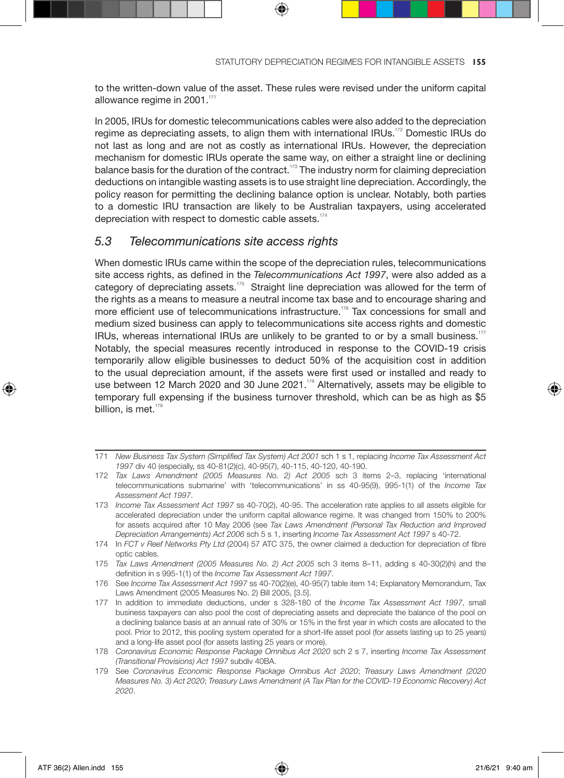to the written-down value of the asset. These rules were revised under the uniform capital allowance regime in 2001.<sup>171</sup>

In 2005, IRUs for domestic telecommunications cables were also added to the depreciation regime as depreciating assets, to align them with international IRUs.<sup>172</sup> Domestic IRUs do not last as long and are not as costly as international IRUs. However, the depreciation mechanism for domestic IRUs operate the same way, on either a straight line or declining balance basis for the duration of the contract.<sup>173</sup> The industry norm for claiming depreciation deductions on intangible wasting assets is to use straight line depreciation. Accordingly, the policy reason for permitting the declining balance option is unclear. Notably, both parties to a domestic IRU transaction are likely to be Australian taxpayers, using accelerated depreciation with respect to domestic cable assets.<sup>174</sup>

## *5.3 Telecommunications site access rights*

When domestic IRUs came within the scope of the depreciation rules, telecommunications site access rights, as defined in the *Telecommunications Act 1997*, were also added as a category of depreciating assets.<sup>175</sup> Straight line depreciation was allowed for the term of the rights as a means to measure a neutral income tax base and to encourage sharing and more efficient use of telecommunications infrastructure.<sup>176</sup> Tax concessions for small and medium sized business can apply to telecommunications site access rights and domestic IRUs, whereas international IRUs are unlikely to be granted to or by a small business.<sup>177</sup> Notably, the special measures recently introduced in response to the COVID-19 crisis temporarily allow eligible businesses to deduct 50% of the acquisition cost in addition to the usual depreciation amount, if the assets were first used or installed and ready to use between 12 March 2020 and 30 June 2021. $178$  Alternatively, assets may be eligible to temporary full expensing if the business turnover threshold, which can be as high as \$5 billion, is met.<sup>17</sup>

⊕

♠

<sup>171</sup> *New Business Tax System (Simplified Tax System) Act 2001* sch 1 s 1, replacing *Income Tax Assessment Act 1997* div 40 (especially, ss 40-81(2)(c), 40-95(7), 40-115, 40-120, 40-190.

<sup>172</sup> *Tax Laws Amendment (2005 Measures No. 2) Act 2005* sch 3 items 2–3, replacing 'international telecommunications submarine' with 'telecommunications' in ss 40-95(9), 995-1(1) of the *Income Tax Assessment Act 1997*.

<sup>173</sup> *Income Tax Assessment Act 1997* ss 40-70(2), 40-95. The acceleration rate applies to all assets eligible for accelerated depreciation under the uniform capital allowance regime. It was changed from 150% to 200% for assets acquired after 10 May 2006 (see *Tax Laws Amendment (Personal Tax Reduction and Improved Depreciation Arrangements) Act 2006* sch 5 s 1, inserting *Income Tax Assessment Act 1997* s 40-72.

<sup>174</sup> In *FCT v Reef Networks Pty Ltd* (2004) 57 ATC 375, the owner claimed a deduction for depreciation of fibre optic cables.

<sup>175</sup> *Tax Laws Amendment (2005 Measures No. 2) Act 2005* sch 3 items 8–11, adding s 40-30(2)(h) and the definition in s 995-1(1) of the *Income Tax Assessment Act 1997*.

<sup>176</sup> See *Income Tax Assessment Act 1997* ss 40-70(2)(e), 40-95(7) table item 14; Explanatory Memorandum, Tax Laws Amendment (2005 Measures No. 2) Bill 2005, [3.5].

<sup>177</sup> In addition to immediate deductions, under s 328-180 of the *Income Tax Assessment Act 1997*, small business taxpayers can also pool the cost of depreciating assets and depreciate the balance of the pool on a declining balance basis at an annual rate of 30% or 15% in the first year in which costs are allocated to the pool. Prior to 2012, this pooling system operated for a short-life asset pool (for assets lasting up to 25 years) and a long-life asset pool (for assets lasting 25 years or more).

<sup>178</sup> *Coronavirus Economic Response Package Omnibus Act 2020* sch 2 s 7, inserting *Income Tax Assessment (Transitional Provisions) Act 1997* subdiv 40BA.

<sup>179</sup> See *Coronavirus Economic Response Package Omnibus Act 2020*; *Treasury Laws Amendment (2020 Measures No. 3) Act 2020*; *Treasury Laws Amendment (A Tax Plan for the COVID-19 Economic Recovery) Act 2020*.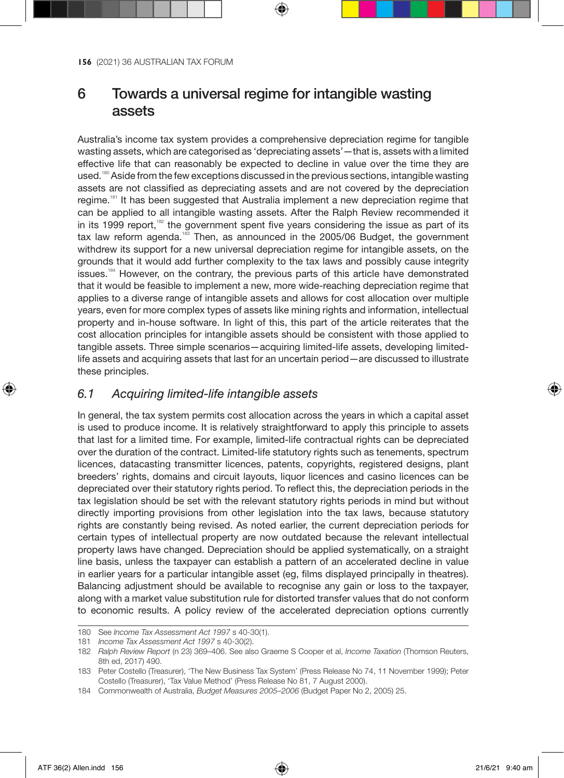# 6 Towards a universal regime for intangible wasting assets

Australia's income tax system provides a comprehensive depreciation regime for tangible wasting assets, which are categorised as 'depreciating assets'—that is, assets with a limited effective life that can reasonably be expected to decline in value over the time they are used.<sup>180</sup> Aside from the few exceptions discussed in the previous sections, intangible wasting assets are not classified as depreciating assets and are not covered by the depreciation regime.<sup>181</sup> It has been suggested that Australia implement a new depreciation regime that can be applied to all intangible wasting assets. After the Ralph Review recommended it in its 1999 report,<sup>182</sup> the government spent five years considering the issue as part of its tax law reform agenda.<sup>183</sup> Then, as announced in the 2005/06 Budget, the government withdrew its support for a new universal depreciation regime for intangible assets, on the grounds that it would add further complexity to the tax laws and possibly cause integrity issues.<sup>184</sup> However, on the contrary, the previous parts of this article have demonstrated that it would be feasible to implement a new, more wide-reaching depreciation regime that applies to a diverse range of intangible assets and allows for cost allocation over multiple years, even for more complex types of assets like mining rights and information, intellectual property and in-house software. In light of this, this part of the article reiterates that the cost allocation principles for intangible assets should be consistent with those applied to tangible assets. Three simple scenarios—acquiring limited-life assets, developing limitedlife assets and acquiring assets that last for an uncertain period—are discussed to illustrate these principles.

## *6.1 Acquiring limited-life intangible assets*

In general, the tax system permits cost allocation across the years in which a capital asset is used to produce income. It is relatively straightforward to apply this principle to assets that last for a limited time. For example, limited-life contractual rights can be depreciated over the duration of the contract. Limited-life statutory rights such as tenements, spectrum licences, datacasting transmitter licences, patents, copyrights, registered designs, plant breeders' rights, domains and circuit layouts, liquor licences and casino licences can be depreciated over their statutory rights period. To reflect this, the depreciation periods in the tax legislation should be set with the relevant statutory rights periods in mind but without directly importing provisions from other legislation into the tax laws, because statutory rights are constantly being revised. As noted earlier, the current depreciation periods for certain types of intellectual property are now outdated because the relevant intellectual property laws have changed. Depreciation should be applied systematically, on a straight line basis, unless the taxpayer can establish a pattern of an accelerated decline in value in earlier years for a particular intangible asset (eg, films displayed principally in theatres). Balancing adjustment should be available to recognise any gain or loss to the taxpayer, along with a market value substitution rule for distorted transfer values that do not conform to economic results. A policy review of the accelerated depreciation options currently

⊕

<sup>180</sup> See *Income Tax Assessment Act 1997* s 40-30(1).

<sup>181</sup> *Income Tax Assessment Act 1997* s 40-30(2).

<sup>182</sup> *Ralph Review Report* (n 23) 369–406. See also Graeme S Cooper et al, *Income Taxation* (Thomson Reuters, 8th ed, 2017) 490.

<sup>183</sup> Peter Costello (Treasurer), 'The New Business Tax System' (Press Release No 74, 11 November 1999); Peter Costello (Treasurer), 'Tax Value Method' (Press Release No 81, 7 August 2000).

<sup>184</sup> Commonwealth of Australia, *Budget Measures 2005–2006* (Budget Paper No 2, 2005) 25.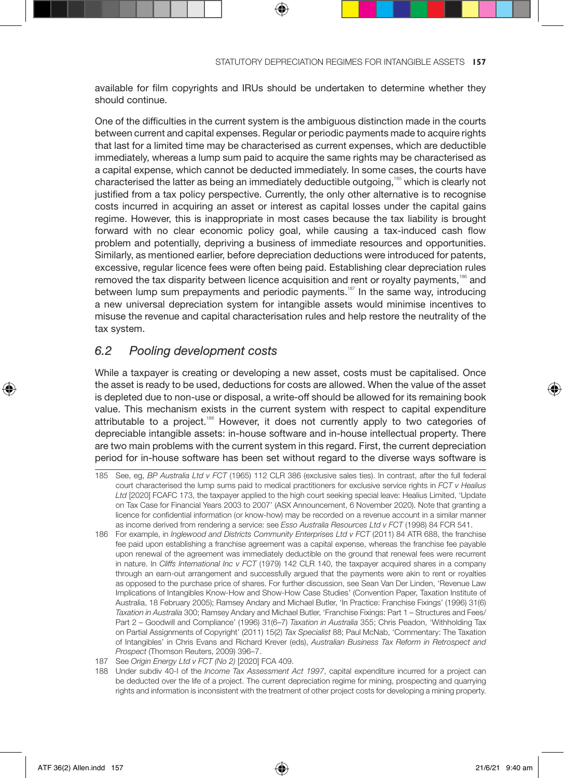available for film copyrights and IRUs should be undertaken to determine whether they should continue.

One of the difficulties in the current system is the ambiguous distinction made in the courts between current and capital expenses. Regular or periodic payments made to acquire rights that last for a limited time may be characterised as current expenses, which are deductible immediately, whereas a lump sum paid to acquire the same rights may be characterised as a capital expense, which cannot be deducted immediately. In some cases, the courts have characterised the latter as being an immediately deductible outgoing,<sup>185</sup> which is clearly not justified from a tax policy perspective. Currently, the only other alternative is to recognise costs incurred in acquiring an asset or interest as capital losses under the capital gains regime. However, this is inappropriate in most cases because the tax liability is brought forward with no clear economic policy goal, while causing a tax-induced cash flow problem and potentially, depriving a business of immediate resources and opportunities. Similarly, as mentioned earlier, before depreciation deductions were introduced for patents, excessive, regular licence fees were often being paid. Establishing clear depreciation rules removed the tax disparity between licence acquisition and rent or royalty payments,<sup>186</sup> and between lump sum prepayments and periodic payments.<sup>187</sup> In the same way, introducing a new universal depreciation system for intangible assets would minimise incentives to misuse the revenue and capital characterisation rules and help restore the neutrality of the tax system.

## *6.2 Pooling development costs*

While a taxpayer is creating or developing a new asset, costs must be capitalised. Once the asset is ready to be used, deductions for costs are allowed. When the value of the asset is depleted due to non-use or disposal, a write-off should be allowed for its remaining book value. This mechanism exists in the current system with respect to capital expenditure attributable to a project.<sup>188</sup> However, it does not currently apply to two categories of depreciable intangible assets: in-house software and in-house intellectual property. There are two main problems with the current system in this regard. First, the current depreciation period for in-house software has been set without regard to the diverse ways software is

- 185 See, eg, *BP Australia Ltd v FCT* (1965) 112 CLR 386 (exclusive sales ties). In contrast, after the full federal court characterised the lump sums paid to medical practitioners for exclusive service rights in *FCT v Healius Ltd* [2020] FCAFC 173, the taxpayer applied to the high court seeking special leave: Healius Limited, 'Update on Tax Case for Financial Years 2003 to 2007' (ASX Announcement, 6 November 2020). Note that granting a licence for confidential information (or know-how) may be recorded on a revenue account in a similar manner as income derived from rendering a service: see *Esso Australia Resources Ltd v FCT* (1998) 84 FCR 541.
- 186 For example, in *Inglewood and Districts Community Enterprises Ltd v FCT* (2011) 84 ATR 688, the franchise fee paid upon establishing a franchise agreement was a capital expense, whereas the franchise fee payable upon renewal of the agreement was immediately deductible on the ground that renewal fees were recurrent in nature. In *Cliffs International Inc v FCT* (1979) 142 CLR 140, the taxpayer acquired shares in a company through an earn-out arrangement and successfully argued that the payments were akin to rent or royalties as opposed to the purchase price of shares. For further discussion, see Sean Van Der Linden, 'Revenue Law Implications of Intangibles Know-How and Show-How Case Studies' (Convention Paper, Taxation Institute of Australia, 18 February 2005); Ramsey Andary and Michael Butler, 'In Practice: Franchise Fixings' (1996) 31(6) *Taxation in Australia* 300; Ramsey Andary and Michael Butler, 'Franchise Fixings: Part 1 – Structures and Fees/ Part 2 – Goodwill and Compliance' (1996) 31(6–7) *Taxation in Australia* 355; Chris Peadon, 'Withholding Tax on Partial Assignments of Copyright' (2011) 15(2) *Tax Specialist* 88; Paul McNab, 'Commentary: The Taxation of Intangibles' in Chris Evans and Richard Krever (eds), *Australian Business Tax Reform in Retrospect and Prospect* (Thomson Reuters, 2009) 396–7.
- 187 See *Origin Energy Ltd v FCT (No 2)* [2020] FCA 409.

188 Under subdiv 40-I of the *Income Tax Assessment Act 1997*, capital expenditure incurred for a project can be deducted over the life of a project. The current depreciation regime for mining, prospecting and quarrying rights and information is inconsistent with the treatment of other project costs for developing a mining property.

↔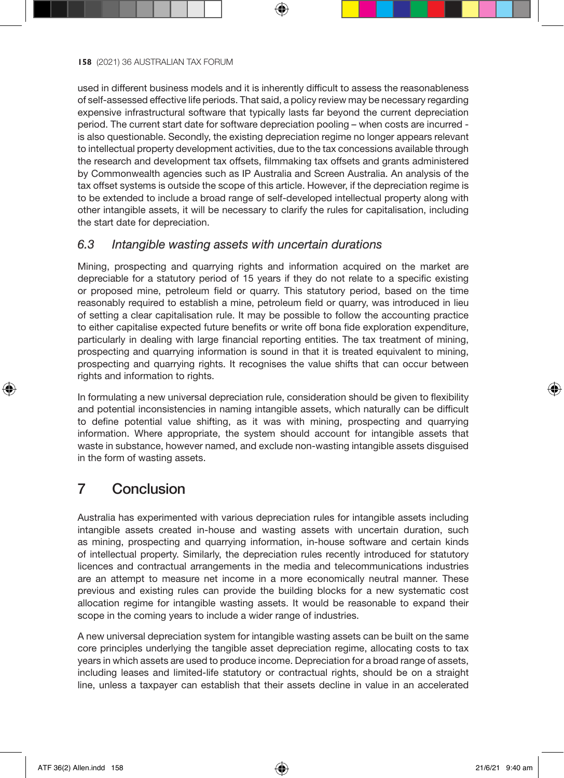used in different business models and it is inherently difficult to assess the reasonableness of self-assessed effective life periods. That said, a policy review may be necessary regarding expensive infrastructural software that typically lasts far beyond the current depreciation period. The current start date for software depreciation pooling – when costs are incurred is also questionable. Secondly, the existing depreciation regime no longer appears relevant to intellectual property development activities, due to the tax concessions available through the research and development tax offsets, filmmaking tax offsets and grants administered by Commonwealth agencies such as IP Australia and Screen Australia. An analysis of the tax offset systems is outside the scope of this article. However, if the depreciation regime is to be extended to include a broad range of self-developed intellectual property along with other intangible assets, it will be necessary to clarify the rules for capitalisation, including the start date for depreciation.

## *6.3 Intangible wasting assets with uncertain durations*

Mining, prospecting and quarrying rights and information acquired on the market are depreciable for a statutory period of 15 years if they do not relate to a specific existing or proposed mine, petroleum field or quarry. This statutory period, based on the time reasonably required to establish a mine, petroleum field or quarry, was introduced in lieu of setting a clear capitalisation rule. It may be possible to follow the accounting practice to either capitalise expected future benefits or write off bona fide exploration expenditure, particularly in dealing with large financial reporting entities. The tax treatment of mining, prospecting and quarrying information is sound in that it is treated equivalent to mining, prospecting and quarrying rights. It recognises the value shifts that can occur between rights and information to rights.

In formulating a new universal depreciation rule, consideration should be given to flexibility and potential inconsistencies in naming intangible assets, which naturally can be difficult to define potential value shifting, as it was with mining, prospecting and quarrying information. Where appropriate, the system should account for intangible assets that waste in substance, however named, and exclude non-wasting intangible assets disguised in the form of wasting assets.

# 7 Conclusion

↔

Australia has experimented with various depreciation rules for intangible assets including intangible assets created in-house and wasting assets with uncertain duration, such as mining, prospecting and quarrying information, in-house software and certain kinds of intellectual property. Similarly, the depreciation rules recently introduced for statutory licences and contractual arrangements in the media and telecommunications industries are an attempt to measure net income in a more economically neutral manner. These previous and existing rules can provide the building blocks for a new systematic cost allocation regime for intangible wasting assets. It would be reasonable to expand their scope in the coming years to include a wider range of industries.

A new universal depreciation system for intangible wasting assets can be built on the same core principles underlying the tangible asset depreciation regime, allocating costs to tax years in which assets are used to produce income. Depreciation for a broad range of assets, including leases and limited-life statutory or contractual rights, should be on a straight line, unless a taxpayer can establish that their assets decline in value in an accelerated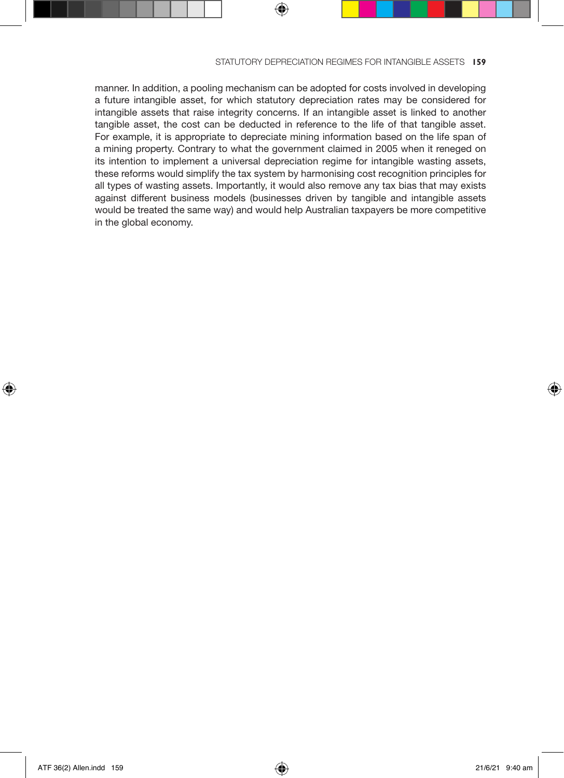manner. In addition, a pooling mechanism can be adopted for costs involved in developing a future intangible asset, for which statutory depreciation rates may be considered for intangible assets that raise integrity concerns. If an intangible asset is linked to another tangible asset, the cost can be deducted in reference to the life of that tangible asset. For example, it is appropriate to depreciate mining information based on the life span of a mining property. Contrary to what the government claimed in 2005 when it reneged on its intention to implement a universal depreciation regime for intangible wasting assets, these reforms would simplify the tax system by harmonising cost recognition principles for all types of wasting assets. Importantly, it would also remove any tax bias that may exists against different business models (businesses driven by tangible and intangible assets would be treated the same way) and would help Australian taxpayers be more competitive in the global economy.

⊕

⊕